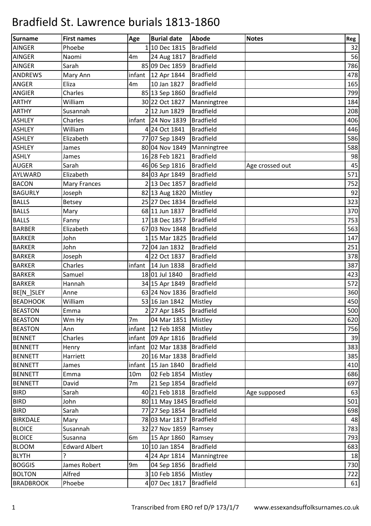| Surname          | <b>First names</b>   | Age             | <b>Burial date</b>         | Abode            | <b>Notes</b>    | Reg |
|------------------|----------------------|-----------------|----------------------------|------------------|-----------------|-----|
| <b>AINGER</b>    | Phoebe               |                 | 1 10 Dec 1815              | <b>Bradfield</b> |                 | 32  |
| <b>AINGER</b>    | Naomi                | 4m              | 24 Aug 1817                | <b>Bradfield</b> |                 | 56  |
| <b>AINGER</b>    | Sarah                |                 | 85 09 Dec 1859             | <b>Bradfield</b> |                 | 786 |
| <b>ANDREWS</b>   | Mary Ann             |                 | infant $\vert$ 12 Apr 1844 | <b>Bradfield</b> |                 | 478 |
| <b>ANGER</b>     | Eliza                | 4m              | 10 Jan 1827                | <b>Bradfield</b> |                 | 165 |
| <b>ANGIER</b>    | Charles              |                 | 85 13 Sep 1860             | <b>Bradfield</b> |                 | 799 |
| <b>ARTHY</b>     | William              |                 | 30 22 Oct 1827             | Manningtree      |                 | 184 |
| <b>ARTHY</b>     | Susannah             |                 | 2 12 Jun 1829              | <b>Bradfield</b> |                 | 208 |
| <b>ASHLEY</b>    | Charles              |                 | infant 24 Nov $1839$       | <b>Bradfield</b> |                 | 406 |
| <b>ASHLEY</b>    | William              |                 | 4 24 Oct 1841              | <b>Bradfield</b> |                 | 446 |
| <b>ASHLEY</b>    | Elizabeth            |                 | 77 07 Sep 1849             | <b>Bradfield</b> |                 | 586 |
| <b>ASHLEY</b>    | James                |                 | 80 04 Nov 1849             | Manningtree      |                 | 588 |
| <b>ASHLY</b>     | James                |                 | 16 28 Feb 1821             | <b>Bradfield</b> |                 | 98  |
| <b>AUGER</b>     | Sarah                |                 | 46 06 Sep 1816             | <b>Bradfield</b> | Age crossed out | 45  |
| <b>AYLWARD</b>   | Elizabeth            |                 | 84 03 Apr 1849             | <b>Bradfield</b> |                 | 571 |
| <b>BACON</b>     | Mary Frances         |                 | 2 13 Dec 1857              | <b>Bradfield</b> |                 | 752 |
| <b>BAGURLY</b>   | Joseph               |                 | 82 13 Aug 1820             | Mistley          |                 | 92  |
| <b>BALLS</b>     | <b>Betsey</b>        |                 | 25 27 Dec 1834             | <b>Bradfield</b> |                 | 323 |
| <b>BALLS</b>     | Mary                 |                 | 68 11 Jun 1837             | <b>Bradfield</b> |                 | 370 |
| <b>BALLS</b>     | Fanny                |                 | 17 18 Dec 1857             | <b>Bradfield</b> |                 | 753 |
| <b>BARBER</b>    | Elizabeth            |                 | 67 03 Nov 1848             | <b>Bradfield</b> |                 | 563 |
| <b>BARKER</b>    | John                 |                 | 115 Mar 1825               | <b>Bradfield</b> |                 | 147 |
| <b>BARKER</b>    | John                 |                 | 72 04 Jan 1832             | <b>Bradfield</b> |                 | 251 |
| <b>BARKER</b>    | Joseph               |                 | 4 22 Oct 1837              | <b>Bradfield</b> |                 | 378 |
| <b>BARKER</b>    | Charles              |                 | infant 14 Jun 1838         | <b>Bradfield</b> |                 | 387 |
| <b>BARKER</b>    | Samuel               |                 | 18 01 Jul 1840             | <b>Bradfield</b> |                 | 423 |
| <b>BARKER</b>    | Hannah               |                 | 34 15 Apr 1849             | <b>Bradfield</b> |                 | 572 |
| BE[N_]SLEY       | Anne                 |                 | 63 24 Nov 1836             | <b>Bradfield</b> |                 | 360 |
| <b>BEADHOOK</b>  | William              |                 | 53 16 Jan 1842             | Mistley          |                 | 450 |
| <b>BEASTON</b>   | Emma                 |                 | 2 27 Apr 1845   Bradfield  |                  |                 | 500 |
| <b>BEASTON</b>   | Wm Hy                | 7 <sub>m</sub>  | 04 Mar 1851   Mistley      |                  |                 | 620 |
| <b>BEASTON</b>   | Ann                  | infant          | 12 Feb 1858                | Mistley          |                 | 756 |
| <b>BENNET</b>    | Charles              | infant          | 09 Apr 1816                | <b>Bradfield</b> |                 | 39  |
| <b>BENNETT</b>   | Henry                | infant          | 02 Mar 1838                | <b>Bradfield</b> |                 | 383 |
| <b>BENNETT</b>   | Harriett             |                 | 20 16 Mar 1838             | <b>Bradfield</b> |                 | 385 |
| <b>BENNETT</b>   | James                | infant          | 15 Jan 1840                | <b>Bradfield</b> |                 | 410 |
| <b>BENNETT</b>   | Emma                 | 10 <sub>m</sub> | 02 Feb 1854                | Mistley          |                 | 686 |
| <b>BENNETT</b>   | David                | 7 <sub>m</sub>  | 21 Sep 1854                | <b>Bradfield</b> |                 | 697 |
| <b>BIRD</b>      | Sarah                |                 | 40 21 Feb 1818             | <b>Bradfield</b> | Age supposed    | 63  |
| <b>BIRD</b>      | John                 |                 | 80 11 May 1845             | <b>Bradfield</b> |                 | 501 |
| <b>BIRD</b>      | Sarah                |                 | 77 27 Sep 1854             | <b>Bradfield</b> |                 | 698 |
| <b>BIRKDALE</b>  | Mary                 |                 | 78 03 Mar 1817             | <b>Bradfield</b> |                 | 48  |
| <b>BLOICE</b>    | Susannah             |                 | 32 27 Nov 1859             | Ramsey           |                 | 783 |
| <b>BLOICE</b>    | Susanna              | 6m              | 15 Apr 1860                | Ramsey           |                 | 793 |
| <b>BLOOM</b>     | <b>Edward Albert</b> |                 | 10 10 Jan 1854             | <b>Bradfield</b> |                 | 683 |
| <b>BLYTH</b>     | ŗ                    |                 | 4 24 Apr 1814              | Manningtree      |                 | 18  |
| <b>BOGGIS</b>    | James Robert         | 9 <sub>m</sub>  | 04 Sep 1856                | <b>Bradfield</b> |                 | 730 |
| <b>BOLTON</b>    | Alfred               |                 | 3 10 Feb 1856              | Mistley          |                 | 722 |
| <b>BRADBROOK</b> | Phoebe               |                 | 4 07 Dec 1817              | <b>Bradfield</b> |                 | 61  |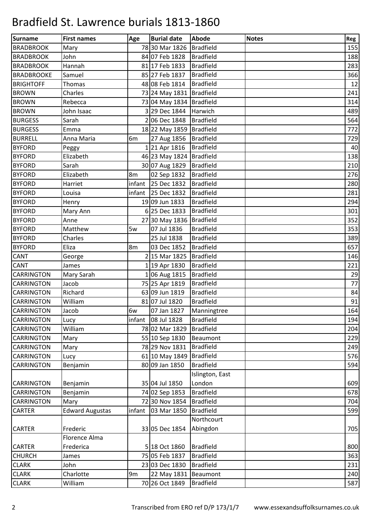| <b>Surname</b>    | <b>First names</b>     | Age            | <b>Burial date</b> | Abode            | <b>Notes</b> | Reg |
|-------------------|------------------------|----------------|--------------------|------------------|--------------|-----|
| <b>BRADBROOK</b>  | Mary                   |                | 78 30 Mar 1826     | <b>Bradfield</b> |              | 155 |
| <b>BRADBROOK</b>  | John                   |                | 84 07 Feb 1828     | <b>Bradfield</b> |              | 188 |
| <b>BRADBROOK</b>  | Hannah                 |                | 81 17 Feb 1833     | <b>Bradfield</b> |              | 283 |
| <b>BRADBROOKE</b> | Samuel                 |                | 85 27 Feb 1837     | <b>Bradfield</b> |              | 366 |
| <b>BRIGHTOFF</b>  | Thomas                 |                | 48 08 Feb 1814     | <b>Bradfield</b> |              | 12  |
| <b>BROWN</b>      | Charles                |                | 73 24 May 1831     | <b>Bradfield</b> |              | 241 |
| <b>BROWN</b>      | Rebecca                |                | 73 04 May 1834     | Bradfield        |              | 314 |
| <b>BROWN</b>      | John Isaac             |                | 3 29 Dec 1844      | Harwich          |              | 489 |
| <b>BURGESS</b>    | Sarah                  |                | 2 06 Dec 1848      | <b>Bradfield</b> |              | 564 |
| <b>BURGESS</b>    | Emma                   |                | 18 22 May 1859     | <b>Bradfield</b> |              | 772 |
| <b>BURRELL</b>    | Anna Maria             | 6m             | 27 Aug 1856        | <b>Bradfield</b> |              | 729 |
| <b>BYFORD</b>     | Peggy                  |                | 121 Apr 1816       | <b>Bradfield</b> |              | 40  |
| <b>BYFORD</b>     | Elizabeth              |                | 46 23 May 1824     | <b>Bradfield</b> |              | 138 |
| <b>BYFORD</b>     | Sarah                  |                | 30 07 Aug 1829     | <b>Bradfield</b> |              | 210 |
| <b>BYFORD</b>     | Elizabeth              | 8m             | 02 Sep 1832        | <b>Bradfield</b> |              | 276 |
| <b>BYFORD</b>     | Harriet                | infant         | 25 Dec 1832        | <b>Bradfield</b> |              | 280 |
| <b>BYFORD</b>     | Louisa                 | infant         | 25 Dec 1832        | <b>Bradfield</b> |              | 281 |
| <b>BYFORD</b>     | Henry                  |                | 19 09 Jun 1833     | <b>Bradfield</b> |              | 294 |
| <b>BYFORD</b>     | Mary Ann               |                | 6 25 Dec 1833      | <b>Bradfield</b> |              | 301 |
| <b>BYFORD</b>     | Anne                   |                | 27 30 May 1836     | <b>Bradfield</b> |              | 352 |
| <b>BYFORD</b>     | Matthew                | 5w             | 07 Jul 1836        | <b>Bradfield</b> |              | 353 |
| <b>BYFORD</b>     | Charles                |                | 25 Jul 1838        | <b>Bradfield</b> |              | 389 |
| <b>BYFORD</b>     | Eliza                  | 8m             | 03 Dec 1852        | <b>Bradfield</b> |              | 657 |
| CANT              | George                 |                | 2 15 Mar 1825      | <b>Bradfield</b> |              | 146 |
| <b>CANT</b>       | James                  |                | 1 19 Apr 1830      | <b>Bradfield</b> |              | 221 |
| <b>CARRINGTON</b> | Mary Sarah             |                | 1 06 Aug 1815      | <b>Bradfield</b> |              | 29  |
| <b>CARRINGTON</b> | Jacob                  |                | 75 25 Apr 1819     | <b>Bradfield</b> |              | 77  |
| <b>CARRINGTON</b> | Richard                |                | 63 09 Jun 1819     | <b>Bradfield</b> |              | 84  |
| <b>CARRINGTON</b> | William                |                | 81 07 Jul 1820     | <b>Bradfield</b> |              | 91  |
| <b>CARRINGTON</b> | Jacob                  | 6w             | 07 Jan 1827        | Manningtree      |              | 164 |
| <b>CARRINGTON</b> | Lucy                   |                | infant 08 Jul 1828 | <b>Bradfield</b> |              | 194 |
| <b>CARRINGTON</b> | William                |                | 78 02 Mar 1829     | <b>Bradfield</b> |              | 204 |
| <b>CARRINGTON</b> | Mary                   |                | 55 10 Sep 1830     | Beaumont         |              | 229 |
| <b>CARRINGTON</b> | Mary                   |                | 78 29 Nov 1831     | <b>Bradfield</b> |              | 249 |
| CARRINGTON        | Lucy                   |                | 61 10 May 1849     | <b>Bradfield</b> |              | 576 |
| CARRINGTON        | Benjamin               |                | 80 09 Jan 1850     | <b>Bradfield</b> |              | 594 |
|                   |                        |                |                    | Islington, East  |              |     |
| <b>CARRINGTON</b> | Benjamin               |                | 35 04 Jul 1850     | London           |              | 609 |
| <b>CARRINGTON</b> | Benjamin               |                | 74 02 Sep 1853     | <b>Bradfield</b> |              | 678 |
| <b>CARRINGTON</b> | Mary                   |                | 72 30 Nov 1854     | <b>Bradfield</b> |              | 704 |
| <b>CARTER</b>     | <b>Edward Augustas</b> | infant         | 03 Mar 1850        | <b>Bradfield</b> |              | 599 |
|                   |                        |                |                    | Northcourt       |              |     |
| <b>CARTER</b>     | Frederic               |                | 33 05 Dec 1854     | Abingdon         |              | 705 |
|                   | Florence Alma          |                |                    |                  |              |     |
| <b>CARTER</b>     | Frederica              |                | 5 18 Oct 1860      | <b>Bradfield</b> |              | 800 |
| <b>CHURCH</b>     | James                  |                | 75 05 Feb 1837     | <b>Bradfield</b> |              | 363 |
| <b>CLARK</b>      | John                   |                | 23 03 Dec 1830     | <b>Bradfield</b> |              | 231 |
| <b>CLARK</b>      | Charlotte              | 9 <sub>m</sub> | 22 May 1831        | Beaumont         |              | 240 |
| <b>CLARK</b>      | William                |                | 70 26 Oct 1849     | <b>Bradfield</b> |              | 587 |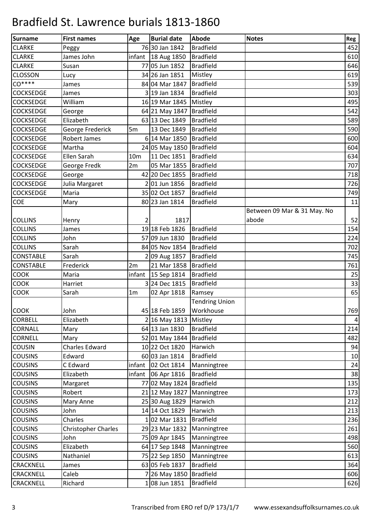| Surname          | <b>First names</b>         | Age             | <b>Burial date</b>       | Abode                 | <b>Notes</b>                | Reg       |
|------------------|----------------------------|-----------------|--------------------------|-----------------------|-----------------------------|-----------|
| <b>CLARKE</b>    | Peggy                      |                 | 76 30 Jan 1842           | <b>Bradfield</b>      |                             | 452       |
| <b>CLARKE</b>    | James John                 |                 | infant $18$ Aug 1850     | <b>Bradfield</b>      |                             | 610       |
| <b>CLARKE</b>    | Susan                      |                 | 77 05 Jun 1852           | <b>Bradfield</b>      |                             | 646       |
| <b>CLOSSON</b>   | Lucy                       |                 | 34 26 Jan 1851           | Mistley               |                             | 619       |
| $CO***$          | James                      |                 | 84 04 Mar 1847           | <b>Bradfield</b>      |                             | 539       |
| <b>COCKSEDGE</b> | James                      |                 | 319 Jan 1834             | <b>Bradfield</b>      |                             | 303       |
| <b>COCKSEDGE</b> | William                    |                 | 16 19 Mar 1845           | Mistley               |                             | 495       |
| <b>COCKSEDGE</b> | George                     |                 | 64 21 May 1847           | <b>Bradfield</b>      |                             | 542       |
| <b>COCKSEDGE</b> | Elizabeth                  |                 | 63 13 Dec 1849           | <b>Bradfield</b>      |                             | 589       |
| <b>COCKSEDGE</b> | George Frederick           | 5m              | 13 Dec 1849              | <b>Bradfield</b>      |                             | 590       |
| <b>COCKSEDGE</b> | Robert James               |                 | 6 14 Mar 1850            | <b>Bradfield</b>      |                             | 600       |
| <b>COCKSEDGE</b> | Martha                     |                 | 24 05 May 1850           | Bradfield             |                             | 604       |
| <b>COCKSEDGE</b> | Ellen Sarah                | 10 <sub>m</sub> | 11 Dec 1851              | <b>Bradfield</b>      |                             | 634       |
| <b>COCKSEDGE</b> | George Fredk               | 2m              | 05 Mar 1855              | <b>Bradfield</b>      |                             | 707       |
| <b>COCKSEDGE</b> | George                     |                 | 42 20 Dec 1855           | <b>Bradfield</b>      |                             | 718       |
| <b>COCKSEDGE</b> | Julia Margaret             |                 | 201 Jun 1856             | <b>Bradfield</b>      |                             | 726       |
| <b>COCKSEDGE</b> | Maria                      |                 | 35 02 Oct 1857           | <b>Bradfield</b>      |                             | 749       |
| COE              | Mary                       |                 | 80 23 Jan 1814           | <b>Bradfield</b>      |                             | 11        |
|                  |                            |                 |                          |                       | Between 09 Mar & 31 May. No |           |
| <b>COLLINS</b>   | Henry                      | 2               | 1817                     |                       | abode                       | 52        |
| <b>COLLINS</b>   | James                      |                 | 1918 Feb 1826            | <b>Bradfield</b>      |                             | 154       |
| <b>COLLINS</b>   | John                       |                 | 57 09 Jun 1830           | <b>Bradfield</b>      |                             | 224       |
| <b>COLLINS</b>   | Sarah                      |                 | 84 05 Nov 1854           | <b>Bradfield</b>      |                             | 702       |
| <b>CONSTABLE</b> | Sarah                      |                 | 2 09 Aug 1857            | <b>Bradfield</b>      |                             | 745       |
| <b>CONSTABLE</b> | Frederick                  | 2m              | 21 Mar 1858              | <b>Bradfield</b>      |                             | 761       |
| <b>COOK</b>      | Maria                      | infant          | 15 Sep 1814              | <b>Bradfield</b>      |                             | 25        |
| <b>COOK</b>      | Harriet                    |                 | 324 Dec 1815             | <b>Bradfield</b>      |                             | 33        |
| <b>COOK</b>      | Sarah                      | 1 <sub>m</sub>  | 02 Apr 1818              | Ramsey                |                             | 65        |
|                  |                            |                 |                          | <b>Tendring Union</b> |                             |           |
| <b>COOK</b>      | John                       |                 | 45 18 Feb 1859 Workhouse |                       |                             | 769       |
| <b>CORBELL</b>   | Elizabeth                  |                 | 2 16 May 1813            | Mistley               |                             | $\pmb{4}$ |
| <b>CORNALL</b>   | Mary                       |                 | 64 13 Jan 1830           | <b>Bradfield</b>      |                             | 214       |
| <b>CORNELL</b>   | Mary                       |                 | 52 01 May 1844           | <b>Bradfield</b>      |                             | 482       |
| COUSIN           | Charles Edward             |                 | 10 22 Oct 1820           | Harwich               |                             | 94        |
| <b>COUSINS</b>   | Edward                     |                 | 60 03 Jan 1814           | <b>Bradfield</b>      |                             | 10        |
| <b>COUSINS</b>   | C Edward                   | infant          | 02 Oct 1814              | Manningtree           |                             | 24        |
| <b>COUSINS</b>   | Elizabeth                  | infant          | 06 Apr 1816              | <b>Bradfield</b>      |                             | 38        |
| <b>COUSINS</b>   | Margaret                   |                 | 77 02 May 1824           | <b>Bradfield</b>      |                             | 135       |
| <b>COUSINS</b>   | Robert                     |                 | 21 12 May 1827           | Manningtree           |                             | 173       |
| <b>COUSINS</b>   | Mary Anne                  |                 | 25 30 Aug 1829           | Harwich               |                             | 212       |
| <b>COUSINS</b>   | John                       |                 | 14 14 Oct 1829           | Harwich               |                             | 213       |
| <b>COUSINS</b>   | Charles                    |                 | 102 Mar 1831             | <b>Bradfield</b>      |                             | 236       |
| <b>COUSINS</b>   | <b>Christopher Charles</b> |                 | 29 23 Mar 1832           | Manningtree           |                             | 261       |
| <b>COUSINS</b>   | John                       |                 | 75 09 Apr 1845           | Manningtree           |                             | 498       |
| <b>COUSINS</b>   | Elizabeth                  |                 | 64 17 Sep 1848           | Manningtree           |                             | 560       |
| <b>COUSINS</b>   | Nathaniel                  |                 | 75 22 Sep 1850           | Manningtree           |                             | 613       |
| <b>CRACKNELL</b> | James                      |                 | 63 05 Feb 1837           | <b>Bradfield</b>      |                             | 364       |
| <b>CRACKNELL</b> | Caleb                      |                 | 7 26 May 1850            | <b>Bradfield</b>      |                             | 606       |
| <b>CRACKNELL</b> | Richard                    |                 | 1 08 Jun 1851            | <b>Bradfield</b>      |                             | 626       |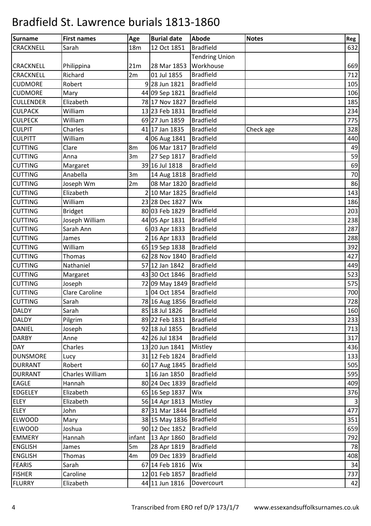| <b>Surname</b>   | <b>First names</b> | Age        | <b>Burial date</b> | <b>Abode</b>          | <b>Notes</b> | Reg         |
|------------------|--------------------|------------|--------------------|-----------------------|--------------|-------------|
| CRACKNELL        | Sarah              | <b>18m</b> | 12 Oct 1851        | <b>Bradfield</b>      |              | 632         |
|                  |                    |            |                    | <b>Tendring Union</b> |              |             |
| <b>CRACKNELL</b> | Philippina         | 21m        | 28 Mar 1853        | Workhouse             |              | 669         |
| CRACKNELL        | Richard            | 2m         | 01 Jul 1855        | <b>Bradfield</b>      |              | 712         |
| <b>CUDMORE</b>   | Robert             |            | 9 28 Jun 1821      | <b>Bradfield</b>      |              | 105         |
| <b>CUDMORE</b>   | Mary               |            | 44 09 Sep 1821     | <b>Bradfield</b>      |              | 106         |
| <b>CULLENDER</b> | Elizabeth          |            | 78 17 Nov 1827     | <b>Bradfield</b>      |              | 185         |
| <b>CULPACK</b>   | William            |            | 13 23 Feb 1831     | <b>Bradfield</b>      |              | 234         |
| <b>CULPECK</b>   | William            |            | 69 27 Jun 1859     | <b>Bradfield</b>      |              | 775         |
| <b>CULPIT</b>    | Charles            |            | 41 17 Jan 1835     | <b>Bradfield</b>      | Check age    | 328         |
| <b>CULPITT</b>   | William            |            | 4 06 Aug 1841      | <b>Bradfield</b>      |              | 440         |
| <b>CUTTING</b>   | Clare              | 8m         | 06 Mar 1817        | <b>Bradfield</b>      |              | 49          |
| <b>CUTTING</b>   | Anna               | 3m         | 27 Sep 1817        | <b>Bradfield</b>      |              | 59          |
| <b>CUTTING</b>   | Margaret           |            | 39 16 Jul 1818     | <b>Bradfield</b>      |              | 69          |
| <b>CUTTING</b>   | Anabella           | 3m         | 14 Aug 1818        | <b>Bradfield</b>      |              | $70\,$      |
| <b>CUTTING</b>   | Joseph Wm          | 2m         | 08 Mar 1820        | <b>Bradfield</b>      |              | 86          |
| <b>CUTTING</b>   | Elizabeth          |            | 2 10 Mar 1825      | <b>Bradfield</b>      |              | 143         |
| <b>CUTTING</b>   | William            |            | 23 28 Dec 1827     | Wix                   |              | 186         |
| <b>CUTTING</b>   | <b>Bridget</b>     |            | 80 03 Feb 1829     | <b>Bradfield</b>      |              | 203         |
| <b>CUTTING</b>   | Joseph William     |            | 44 05 Apr 1831     | <b>Bradfield</b>      |              | 238         |
| <b>CUTTING</b>   | Sarah Ann          |            | 6 03 Apr 1833      | <b>Bradfield</b>      |              | 287         |
| <b>CUTTING</b>   | James              |            | 2 16 Apr 1833      | <b>Bradfield</b>      |              | 288         |
| <b>CUTTING</b>   | William            |            | 65 19 Sep 1838     | <b>Bradfield</b>      |              | 392         |
| <b>CUTTING</b>   | Thomas             |            | 62 28 Nov 1840     | <b>Bradfield</b>      |              | 427         |
| <b>CUTTING</b>   | Nathaniel          |            | 57 12 Jan 1842     | <b>Bradfield</b>      |              | 449         |
| <b>CUTTING</b>   | Margaret           |            | 43 30 Oct 1846     | <b>Bradfield</b>      |              | 523         |
| <b>CUTTING</b>   | Joseph             |            | 72 09 May 1849     | <b>Bradfield</b>      |              | 575         |
| <b>CUTTING</b>   | Clare Caroline     |            | 1 04 Oct 1854      | <b>Bradfield</b>      |              | 700         |
| <b>CUTTING</b>   | Sarah              |            | 78 16 Aug 1856     | <b>Bradfield</b>      |              | 728         |
| <b>DALDY</b>     | Sarah              |            | 85 18 Jul 1826     | <b>Bradfield</b>      |              | 160         |
| <b>DALDY</b>     | Pilgrim            |            | 89 22 Feb 1831     | <b>Bradfield</b>      |              | 233         |
| <b>DANIEL</b>    | Joseph             |            | 92 18 Jul 1855     | <b>Bradfield</b>      |              | 713         |
| <b>DARBY</b>     | Anne               |            | 42 26 Jul 1834     | <b>Bradfield</b>      |              | 317         |
| <b>DAY</b>       | Charles            |            | 13 20 Jun 1841     | Mistley               |              | 436         |
| <b>DUNSMORE</b>  | Lucy               |            | 31 12 Feb 1824     | <b>Bradfield</b>      |              | 133         |
| <b>DURRANT</b>   | Robert             |            | 60 17 Aug 1845     | <b>Bradfield</b>      |              | 505         |
| <b>DURRANT</b>   | Charles William    |            | 1 16 Jan 1850      | <b>Bradfield</b>      |              | 595         |
| <b>EAGLE</b>     | Hannah             |            | 80 24 Dec 1839     | <b>Bradfield</b>      |              | 409         |
| <b>EDGELEY</b>   | Elizabeth          |            | 65 16 Sep 1837     | Wix                   |              | 376         |
| <b>ELEY</b>      | Elizabeth          |            | 56 14 Apr 1813     | Mistley               |              | $\mathsf 3$ |
| <b>ELEY</b>      | John               |            | 87 31 Mar 1844     | <b>Bradfield</b>      |              | 477         |
| <b>ELWOOD</b>    | Mary               |            | 38 15 May 1836     | <b>Bradfield</b>      |              | 351         |
| <b>ELWOOD</b>    | Joshua             |            | 90 12 Dec 1852     | <b>Bradfield</b>      |              | 659         |
| <b>EMMERY</b>    | Hannah             |            | infant 13 Apr 1860 | <b>Bradfield</b>      |              | 792         |
| <b>ENGLISH</b>   | James              | 5m         | 28 Apr 1819        | <b>Bradfield</b>      |              | 78          |
| <b>ENGLISH</b>   | Thomas             | 4m         | 09 Dec 1839        | <b>Bradfield</b>      |              | 408         |
| <b>FEARIS</b>    | Sarah              |            | 67 14 Feb 1816     | Wix                   |              | 34          |
| <b>FISHER</b>    | Caroline           |            | 12 01 Feb 1857     | <b>Bradfield</b>      |              | 737         |
| <b>FLURRY</b>    | Elizabeth          |            | 44 11 Jun 1816     | Dovercourt            |              | 42          |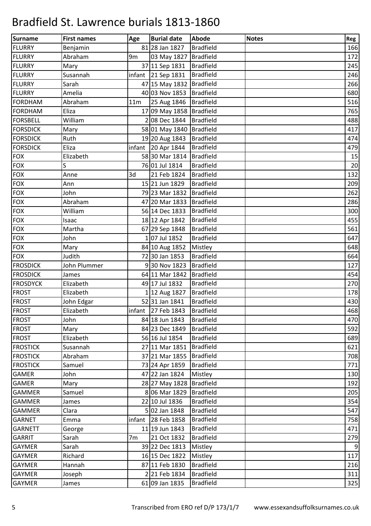| Surname         | <b>First names</b> | Age             | <b>Burial date</b>             | <b>Abode</b>     | <b>Notes</b> | Reg |
|-----------------|--------------------|-----------------|--------------------------------|------------------|--------------|-----|
| <b>FLURRY</b>   | Benjamin           |                 | 81 28 Jan 1827                 | <b>Bradfield</b> |              | 166 |
| <b>FLURRY</b>   | Abraham            | 9 <sub>m</sub>  | 03 May 1827                    | <b>Bradfield</b> |              | 172 |
| <b>FLURRY</b>   | Mary               |                 | 37 11 Sep 1831                 | <b>Bradfield</b> |              | 245 |
| <b>FLURRY</b>   | Susannah           |                 | infant $\vert$ 21 Sep 1831     | <b>Bradfield</b> |              | 246 |
| <b>FLURRY</b>   | Sarah              |                 | 47 15 May 1832 Bradfield       |                  |              | 266 |
| <b>FLURRY</b>   | Amelia             |                 | 40 03 Nov 1853                 | <b>Bradfield</b> |              | 680 |
| FORDHAM         | Abraham            | 11 <sub>m</sub> | 25 Aug 1846   Bradfield        |                  |              | 516 |
| <b>FORDHAM</b>  | Eliza              |                 | 17 09 May 1858 Bradfield       |                  |              | 765 |
| <b>FORSBELL</b> | William            |                 | 208 Dec 1844 Bradfield         |                  |              | 488 |
| <b>FORSDICK</b> | Mary               |                 | 58 01 May 1840 Bradfield       |                  |              | 417 |
| <b>FORSDICK</b> | Ruth               |                 | 19 20 Aug 1843                 | <b>Bradfield</b> |              | 474 |
| <b>FORSDICK</b> | Eliza              |                 | infant 20 Apr $1844$           | <b>Bradfield</b> |              | 479 |
| <b>FOX</b>      | Elizabeth          |                 | 58 30 Mar 1814   Bradfield     |                  |              | 15  |
| <b>FOX</b>      | S                  |                 | 76 01 Jul 1814                 | <b>Bradfield</b> |              | 20  |
| <b>FOX</b>      | Anne               | 3d              | 21 Feb 1824                    | <b>Bradfield</b> |              | 132 |
| <b>FOX</b>      | Ann                |                 | 15 21 Jun 1829                 | <b>Bradfield</b> |              | 209 |
| <b>FOX</b>      | John               |                 | 79 23 Mar 1832                 | Bradfield        |              | 262 |
| <b>FOX</b>      | Abraham            |                 | 47 20 Mar 1833                 | <b>Bradfield</b> |              | 286 |
| <b>FOX</b>      | William            |                 | 56 14 Dec 1833                 | <b>Bradfield</b> |              | 300 |
| FOX             | Isaac              |                 | 18 12 Apr 1842                 | <b>Bradfield</b> |              | 455 |
| <b>FOX</b>      | Martha             |                 | 67 29 Sep 1848                 | <b>Bradfield</b> |              | 561 |
| <b>FOX</b>      | John               |                 | 107 Jul 1852                   | <b>Bradfield</b> |              | 647 |
| <b>FOX</b>      | Mary               |                 | 84 10 Aug 1852                 | Mistley          |              | 648 |
| <b>FOX</b>      | Judith             |                 | 72 30 Jan 1853                 | <b>Bradfield</b> |              | 664 |
| <b>FROSDICK</b> | John Plummer       |                 | 930 Nov 1823                   | <b>Bradfield</b> |              | 127 |
| <b>FROSDICK</b> | James              |                 | 64 11 Mar 1842                 | <b>Bradfield</b> |              | 454 |
| <b>FROSDYCK</b> | Elizabeth          |                 | 49 17 Jul 1832                 | <b>Bradfield</b> |              | 270 |
| <b>FROST</b>    | Elizabeth          |                 | 1 12 Aug 1827                  | <b>Bradfield</b> |              | 178 |
| <b>FROST</b>    | John Edgar         |                 | 5231 Jan 1841                  | <b>Bradfield</b> |              | 430 |
| <b>FROST</b>    | Elizabeth          |                 | infant 27 Feb 1843   Bradfield |                  |              | 468 |
| <b>FROST</b>    | John               |                 | 84 18 Jun 1843                 | <b>Bradfield</b> |              | 470 |
| <b>FROST</b>    | Mary               |                 | 84 23 Dec 1849                 | <b>Bradfield</b> |              | 592 |
| <b>FROST</b>    | Elizabeth          |                 | 56 16 Jul 1854                 | <b>Bradfield</b> |              | 689 |
| <b>FROSTICK</b> | Susannah           |                 | 27 11 Mar 1851                 | <b>Bradfield</b> |              | 621 |
| <b>FROSTICK</b> | Abraham            |                 | 37 21 Mar 1855                 | <b>Bradfield</b> |              | 708 |
| <b>FROSTICK</b> | Samuel             |                 | 73 24 Apr 1859                 | <b>Bradfield</b> |              | 771 |
| <b>GAMER</b>    | John               |                 | 47 22 Jan 1824                 | Mistley          |              | 130 |
| <b>GAMER</b>    | Mary               |                 | 28 27 May 1828                 | Bradfield        |              | 192 |
| <b>GAMMER</b>   | Samuel             |                 | 8 06 Mar 1829                  | <b>Bradfield</b> |              | 205 |
| <b>GAMMER</b>   | James              |                 | 22 10 Jul 1836                 | <b>Bradfield</b> |              | 354 |
| <b>GAMMER</b>   | Clara              |                 | 5 02 Jan 1848                  | <b>Bradfield</b> |              | 547 |
| <b>GARNET</b>   | Emma               | infant          | 28 Feb 1858                    | <b>Bradfield</b> |              | 758 |
| <b>GARNETT</b>  | George             |                 | 11 19 Jun 1843                 | <b>Bradfield</b> |              | 471 |
| <b>GARRIT</b>   | Sarah              | 7m              | 21 Oct 1832                    | <b>Bradfield</b> |              | 279 |
| <b>GAYMER</b>   | Sarah              |                 | 39 22 Dec 1813                 | Mistley          |              | 9   |
| <b>GAYMER</b>   | Richard            |                 | 16 15 Dec 1822                 | Mistley          |              | 117 |
| <b>GAYMER</b>   | Hannah             |                 | 87 11 Feb 1830                 | <b>Bradfield</b> |              | 216 |
| <b>GAYMER</b>   | Joseph             |                 | 221 Feb 1834                   | <b>Bradfield</b> |              | 311 |
| <b>GAYMER</b>   | James              |                 | 61 09 Jan 1835                 | <b>Bradfield</b> |              | 325 |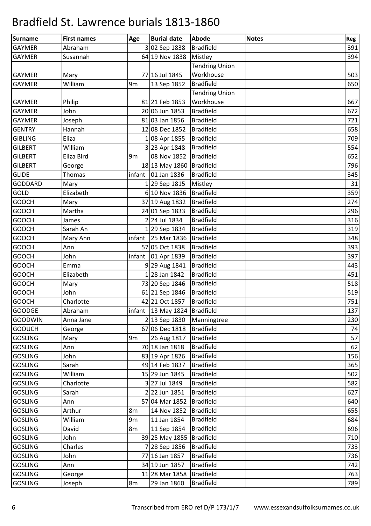| Surname        | <b>First names</b> | Age            | <b>Burial date</b>               | Abode                 | <b>Notes</b> | Reg |
|----------------|--------------------|----------------|----------------------------------|-----------------------|--------------|-----|
| <b>GAYMER</b>  | Abraham            |                | 302 Sep 1838                     | <b>Bradfield</b>      |              | 391 |
| <b>GAYMER</b>  | Susannah           |                | 64 19 Nov 1838                   | Mistley               |              | 394 |
|                |                    |                |                                  | <b>Tendring Union</b> |              |     |
| <b>GAYMER</b>  | Mary               |                | 77 16 Jul 1845                   | Workhouse             |              | 503 |
| <b>GAYMER</b>  | William            | 9 <sub>m</sub> | 13 Sep 1852                      | <b>Bradfield</b>      |              | 650 |
|                |                    |                |                                  | <b>Tendring Union</b> |              |     |
| <b>GAYMER</b>  | Philip             |                | 81 21 Feb 1853                   | Workhouse             |              | 667 |
| <b>GAYMER</b>  | John               |                | 20 06 Jun 1853                   | <b>Bradfield</b>      |              | 672 |
| <b>GAYMER</b>  | Joseph             |                | 81 03 Jan 1856                   | <b>Bradfield</b>      |              | 721 |
| <b>GENTRY</b>  | Hannah             |                | 12 08 Dec 1852                   | <b>Bradfield</b>      |              | 658 |
| <b>GIBLING</b> | Eliza              |                | 108 Apr 1855                     | <b>Bradfield</b>      |              | 709 |
| <b>GILBERT</b> | William            |                | 3 23 Apr 1848                    | <b>Bradfield</b>      |              | 554 |
| <b>GILBERT</b> | Eliza Bird         | 9m             | 08 Nov 1852                      | <b>Bradfield</b>      |              | 652 |
| <b>GILBERT</b> | George             |                | 18 13 May 1860                   | <b>Bradfield</b>      |              | 796 |
| <b>GLIDE</b>   | Thomas             |                | infant 01 Jan 1836               | <b>Bradfield</b>      |              | 345 |
| <b>GODDARD</b> | Mary               |                | 129 Sep 1815                     | Mistley               |              | 31  |
| <b>GOLD</b>    | Elizabeth          |                | 6 10 Nov 1836                    | <b>Bradfield</b>      |              | 359 |
| <b>GOOCH</b>   | Mary               |                | 37 19 Aug 1832                   | <b>Bradfield</b>      |              | 274 |
| <b>GOOCH</b>   | Martha             |                | 24 01 Sep 1833                   | <b>Bradfield</b>      |              | 296 |
| <b>GOOCH</b>   | James              |                | 2 24 Jul 1834                    | <b>Bradfield</b>      |              | 316 |
| <b>GOOCH</b>   | Sarah An           |                | 1 29 Sep 1834                    | <b>Bradfield</b>      |              | 319 |
| <b>GOOCH</b>   | Mary Ann           |                | infant 25 Mar 1836               | <b>Bradfield</b>      |              | 348 |
| <b>GOOCH</b>   | Ann                |                | 57 05 Oct 1838                   | <b>Bradfield</b>      |              | 393 |
| <b>GOOCH</b>   | John               |                | infant $\vert$ 01 Apr 1839       | <b>Bradfield</b>      |              | 397 |
| <b>GOOCH</b>   | Emma               |                | 929 Aug 1841                     | <b>Bradfield</b>      |              | 443 |
| <b>GOOCH</b>   | Elizabeth          |                | 128 Jan 1842                     | <b>Bradfield</b>      |              | 451 |
| <b>GOOCH</b>   | Mary               |                | 73 20 Sep 1846                   | <b>Bradfield</b>      |              | 518 |
| <b>GOOCH</b>   | John               |                | 61 21 Sep 1846                   | <b>Bradfield</b>      |              | 519 |
| <b>GOOCH</b>   | Charlotte          |                | 42 21 Oct 1857                   | <b>Bradfield</b>      |              | 751 |
| <b>GOODGE</b>  | Abraham            |                | infant   13 May 1824   Bradfield |                       |              | 137 |
| <b>GOODWIN</b> | Anna Jane          |                | 2 13 Sep 1830                    | Manningtree           |              | 230 |
| <b>GOOUCH</b>  | George             |                | 67 06 Dec 1818                   | <b>Bradfield</b>      |              | 74  |
| <b>GOSLING</b> | Mary               | 9 <sub>m</sub> | 26 Aug 1817                      | <b>Bradfield</b>      |              | 57  |
| <b>GOSLING</b> | Ann                |                | 70 18 Jan 1818                   | <b>Bradfield</b>      |              | 62  |
| <b>GOSLING</b> | John               |                | 83 19 Apr 1826                   | <b>Bradfield</b>      |              | 156 |
| <b>GOSLING</b> | Sarah              |                | 49 14 Feb 1837                   | <b>Bradfield</b>      |              | 365 |
| <b>GOSLING</b> | William            |                | 15 29 Jun 1845                   | <b>Bradfield</b>      |              | 502 |
| <b>GOSLING</b> | Charlotte          |                | 3 27 Jul 1849                    | <b>Bradfield</b>      |              | 582 |
| <b>GOSLING</b> | Sarah              |                | 22 Jun 1851                      | <b>Bradfield</b>      |              | 627 |
| <b>GOSLING</b> | Ann                |                | 57 04 Mar 1852                   | <b>Bradfield</b>      |              | 640 |
| <b>GOSLING</b> | Arthur             | 8m             | 14 Nov 1852                      | <b>Bradfield</b>      |              | 655 |
| <b>GOSLING</b> | William            | 9m             | 11 Jan 1854                      | <b>Bradfield</b>      |              | 684 |
| <b>GOSLING</b> | David              | 8m             | 11 Sep 1854                      | <b>Bradfield</b>      |              | 696 |
| <b>GOSLING</b> | John               |                | 39 25 May 1855                   | <b>Bradfield</b>      |              | 710 |
| <b>GOSLING</b> | Charles            |                | 7 28 Sep 1856                    | <b>Bradfield</b>      |              | 733 |
| <b>GOSLING</b> | John               |                | 77 16 Jan 1857                   | <b>Bradfield</b>      |              | 736 |
| <b>GOSLING</b> | Ann                |                | 34 19 Jun 1857                   | <b>Bradfield</b>      |              | 742 |
| <b>GOSLING</b> | George             |                | 11 28 Mar 1858                   | <b>Bradfield</b>      |              | 763 |
| <b>GOSLING</b> | Joseph             | 8m             | 29 Jan 1860                      | <b>Bradfield</b>      |              | 789 |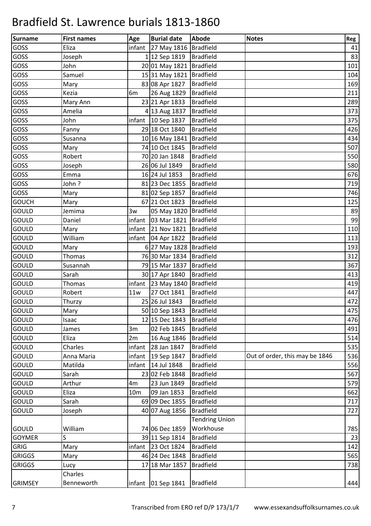| <b>Surname</b> | <b>First names</b> | Age             | <b>Burial date</b>               | Abode                 | <b>Notes</b>                   | Reg |
|----------------|--------------------|-----------------|----------------------------------|-----------------------|--------------------------------|-----|
| GOSS           | Eliza              | infant          | 27 May 1816 Bradfield            |                       |                                | 41  |
| GOSS           | Joseph             |                 | 1 12 Sep 1819                    | <b>Bradfield</b>      |                                | 83  |
| GOSS           | John               |                 | 20 01 May 1821 Bradfield         |                       |                                | 101 |
| GOSS           | Samuel             |                 | 15 31 May 1821   Bradfield       |                       |                                | 104 |
| GOSS           | Mary               |                 | 83 08 Apr 1827                   | <b>Bradfield</b>      |                                | 169 |
| GOSS           | Kezia              | 6m              | 26 Aug 1829                      | <b>Bradfield</b>      |                                | 211 |
| GOSS           | Mary Ann           |                 | 23 21 Apr 1833                   | <b>Bradfield</b>      |                                | 289 |
| GOSS           | Amelia             |                 | 4 13 Aug 1837                    | <b>Bradfield</b>      |                                | 373 |
| GOSS           | John               |                 | infant 10 Sep 1837               | <b>Bradfield</b>      |                                | 375 |
| GOSS           | Fanny              |                 | 29 18 Oct 1840                   | <b>Bradfield</b>      |                                | 426 |
| GOSS           | Susanna            |                 | 10 16 May 1841                   | <b>Bradfield</b>      |                                | 434 |
| GOSS           | Mary               |                 | 74 10 Oct 1845                   | <b>Bradfield</b>      |                                | 507 |
| GOSS           | Robert             |                 | 70 20 Jan 1848                   | <b>Bradfield</b>      |                                | 550 |
| GOSS           | Joseph             |                 | 26 06 Jul 1849                   | <b>Bradfield</b>      |                                | 580 |
| GOSS           | Emma               |                 | 16 24 Jul 1853                   | <b>Bradfield</b>      |                                | 676 |
| GOSS           | John?              |                 | 81 23 Dec 1855                   | <b>Bradfield</b>      |                                | 719 |
| GOSS           | Mary               |                 | 81 02 Sep 1857                   | <b>Bradfield</b>      |                                | 746 |
| <b>GOUCH</b>   | Mary               |                 | 67 21 Oct 1823                   | <b>Bradfield</b>      |                                | 125 |
| <b>GOULD</b>   | Jemima             | 3w              | 05 May 1820                      | Bradfield             |                                | 89  |
| <b>GOULD</b>   | Daniel             | infant          | 03 Mar 1821                      | Bradfield             |                                | 99  |
| <b>GOULD</b>   | Mary               | infant          | 21 Nov 1821                      | <b>Bradfield</b>      |                                | 110 |
| <b>GOULD</b>   | William            |                 | infant $\vert$ 04 Apr 1822       | <b>Bradfield</b>      |                                | 113 |
| <b>GOULD</b>   | Mary               |                 | 6 27 May 1828 Bradfield          |                       |                                | 193 |
| <b>GOULD</b>   | Thomas             |                 | 76 30 Mar 1834   Bradfield       |                       |                                | 312 |
| <b>GOULD</b>   | Susannah           |                 | 79 15 Mar 1837                   | <b>Bradfield</b>      |                                | 367 |
| <b>GOULD</b>   | Sarah              |                 | 30 17 Apr 1840                   | <b>Bradfield</b>      |                                | 413 |
| <b>GOULD</b>   | Thomas             |                 | infant 23 May 1840   Bradfield   |                       |                                | 419 |
| <b>GOULD</b>   | Robert             | 11w             | 27 Oct 1841                      | <b>Bradfield</b>      |                                | 447 |
| <b>GOULD</b>   | Thurzy             |                 | 25 26 Jul 1843                   | <b>Bradfield</b>      |                                | 472 |
| <b>GOULD</b>   | Mary               |                 | 50 10 Sep 1843                   | <b>Bradfield</b>      |                                | 475 |
| <b>GOULD</b>   | Isaac              |                 | 12 15 Dec 1843                   | <b>Bradfield</b>      |                                | 476 |
| <b>GOULD</b>   | James              | 3m              | 02 Feb 1845                      | <b>Bradfield</b>      |                                | 491 |
| GOULD          | Eliza              | 2m              | 16 Aug 1846                      | <b>Bradfield</b>      |                                | 514 |
| <b>GOULD</b>   | Charles            | infant          | 28 Jan 1847                      | <b>Bradfield</b>      |                                | 535 |
| GOULD          | Anna Maria         | infant          | 19 Sep 1847                      | <b>Bradfield</b>      | Out of order, this may be 1846 | 536 |
| <b>GOULD</b>   | Matilda            | infant          | 14 Jul 1848                      | <b>Bradfield</b>      |                                | 556 |
| GOULD          | Sarah              |                 | 23 02 Feb 1848                   | <b>Bradfield</b>      |                                | 567 |
| <b>GOULD</b>   | Arthur             | 4m              | 23 Jun 1849                      | <b>Bradfield</b>      |                                | 579 |
| <b>GOULD</b>   | Eliza              | 10 <sub>m</sub> | 09 Jan 1853                      | <b>Bradfield</b>      |                                | 662 |
| <b>GOULD</b>   | Sarah              |                 | 69 09 Dec 1855                   | <b>Bradfield</b>      |                                | 717 |
| <b>GOULD</b>   | Joseph             |                 | 40 07 Aug 1856                   | <b>Bradfield</b>      |                                | 727 |
|                |                    |                 |                                  | <b>Tendring Union</b> |                                |     |
| <b>GOULD</b>   | William            |                 | 74 06 Dec 1859                   | Workhouse             |                                | 785 |
| <b>GOYMER</b>  | S                  |                 | 39 11 Sep 1814                   | <b>Bradfield</b>      |                                | 23  |
| <b>GRIG</b>    | Mary               |                 | infant 23 Oct 1824               | <b>Bradfield</b>      |                                | 142 |
| <b>GRIGGS</b>  | Mary               |                 | 46 24 Dec 1848                   | <b>Bradfield</b>      |                                | 565 |
| <b>GRIGGS</b>  | Lucy               |                 | 17 18 Mar 1857                   | <b>Bradfield</b>      |                                | 738 |
|                | Charles            |                 |                                  |                       |                                |     |
| <b>GRIMSEY</b> | Benneworth         |                 | infant   01 Sep 1841   Bradfield |                       |                                | 444 |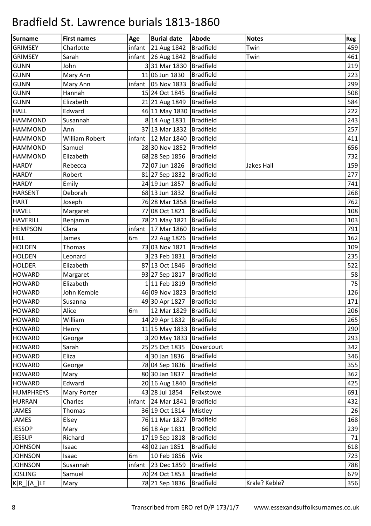| Surname          | <b>First names</b> | Age            | <b>Burial date</b>         | Abode            | <b>Notes</b>  | Reg |
|------------------|--------------------|----------------|----------------------------|------------------|---------------|-----|
| <b>GRIMSEY</b>   | Charlotte          | infant         | 21 Aug 1842                | <b>Bradfield</b> | Twin          | 459 |
| <b>GRIMSEY</b>   | Sarah              | infant         | 26 Aug 1842                | <b>Bradfield</b> | Twin          | 461 |
| <b>GUNN</b>      | John               |                | 331 Mar 1830               | <b>Bradfield</b> |               | 219 |
| <b>GUNN</b>      | Mary Ann           |                | 11 06 Jun 1830             | <b>Bradfield</b> |               | 223 |
| <b>GUNN</b>      | Mary Ann           |                | infant $\vert$ 05 Nov 1833 | <b>Bradfield</b> |               | 299 |
| <b>GUNN</b>      | Hannah             |                | 15 24 Oct 1845             | <b>Bradfield</b> |               | 508 |
| <b>GUNN</b>      | Elizabeth          |                | 21 21 Aug 1849             | <b>Bradfield</b> |               | 584 |
| <b>HALL</b>      | Edward             |                | 46 11 May 1830             | <b>Bradfield</b> |               | 222 |
| <b>HAMMOND</b>   | Susannah           |                | 8 14 Aug 1831              | <b>Bradfield</b> |               | 243 |
| <b>HAMMOND</b>   | Ann                |                | 37 13 Mar 1832             | <b>Bradfield</b> |               | 257 |
| <b>HAMMOND</b>   | William Robert     | infant         | 12 Mar 1840                | <b>Bradfield</b> |               | 411 |
| <b>HAMMOND</b>   | Samuel             |                | 28 30 Nov 1852             | <b>Bradfield</b> |               | 656 |
| <b>HAMMOND</b>   | Elizabeth          |                | 68 28 Sep 1856             | <b>Bradfield</b> |               | 732 |
| <b>HARDY</b>     | Rebecca            |                | 72 07 Jun 1826             | <b>Bradfield</b> | Jakes Hall    | 159 |
| <b>HARDY</b>     | Robert             |                | 81 27 Sep 1832             | <b>Bradfield</b> |               | 277 |
| <b>HARDY</b>     | Emily              |                | 24 19 Jun 1857             | <b>Bradfield</b> |               | 741 |
| <b>HARSENT</b>   | Deborah            |                | 68 13 Jun 1832             | <b>Bradfield</b> |               | 268 |
| <b>HART</b>      | Joseph             |                | 76 28 Mar 1858             | <b>Bradfield</b> |               | 762 |
| <b>HAVEL</b>     | Margaret           |                | 77 08 Oct 1821             | <b>Bradfield</b> |               | 108 |
| <b>HAVERILL</b>  | Benjamin           |                | 78 21 May 1821             | <b>Bradfield</b> |               | 103 |
| <b>HEMPSON</b>   | Clara              | infant         | 17 Mar 1860                | <b>Bradfield</b> |               | 791 |
| <b>HILL</b>      | James              | 6m             | 22 Aug 1826                | <b>Bradfield</b> |               | 162 |
| <b>HOLDEN</b>    | Thomas             |                | 73 03 Nov 1821             | <b>Bradfield</b> |               | 109 |
| <b>HOLDEN</b>    | Leonard            |                | 3 23 Feb 1831              | <b>Bradfield</b> |               | 235 |
| <b>HOLDER</b>    | Elizabeth          |                | 87 13 Oct 1846             | <b>Bradfield</b> |               | 522 |
| <b>HOWARD</b>    | Margaret           |                | 93 27 Sep 1817             | <b>Bradfield</b> |               | 58  |
| <b>HOWARD</b>    | Elizabeth          |                | 111 Feb 1819               | <b>Bradfield</b> |               | 75  |
| <b>HOWARD</b>    | John Kemble        |                | 46 09 Nov 1823             | <b>Bradfield</b> |               | 126 |
| <b>HOWARD</b>    | Susanna            |                | 49 30 Apr 1827             | <b>Bradfield</b> |               | 171 |
| HOWARD           | Alice              | 6 <sub>m</sub> | 12 Mar 1829   Bradfield    |                  |               | 206 |
| <b>HOWARD</b>    | William            |                | 14 29 Apr 1832             | <b>Bradfield</b> |               | 265 |
| <b>HOWARD</b>    | Henry              |                | 11 15 May 1833   Bradfield |                  |               | 290 |
| <b>HOWARD</b>    | George             |                | 3 20 May 1833 Bradfield    |                  |               | 293 |
| <b>HOWARD</b>    | Sarah              |                | 25 25 Oct 1835             | Dovercourt       |               | 342 |
| <b>HOWARD</b>    | Eliza              |                | 4 30 Jan 1836              | <b>Bradfield</b> |               | 346 |
| <b>HOWARD</b>    | George             |                | 78 04 Sep 1836             | <b>Bradfield</b> |               | 355 |
| <b>HOWARD</b>    | Mary               |                | 80 30 Jan 1837             | <b>Bradfield</b> |               | 362 |
| <b>HOWARD</b>    | Edward             |                | 20 16 Aug 1840             | <b>Bradfield</b> |               | 425 |
| <b>HUMPHREYS</b> | Mary Porter        |                | 43 28 Jul 1854             | Felixstowe       |               | 691 |
| <b>HURRAN</b>    | Charles            |                | infant 24 Mar $1841$       | <b>Bradfield</b> |               | 432 |
| JAMES            | Thomas             |                | 36 19 Oct 1814             | Mistley          |               | 26  |
| <b>JAMES</b>     | Elsey              |                | 76 11 Mar 1827             | <b>Bradfield</b> |               | 168 |
| <b>JESSOP</b>    | Mary               |                | 66 18 Apr 1831             | <b>Bradfield</b> |               | 239 |
| <b>JESSUP</b>    | Richard            |                | 17 19 Sep 1818             | <b>Bradfield</b> |               | 71  |
| <b>JOHNSON</b>   | Isaac              |                | 48 02 Jan 1851             | <b>Bradfield</b> |               | 618 |
| <b>JOHNSON</b>   | Isaac              | 6m             | 10 Feb 1856                | Wix              |               | 723 |
| <b>JOHNSON</b>   | Susannah           |                | infant 23 Dec 1859         | <b>Bradfield</b> |               | 788 |
| <b>JOSLING</b>   | Samuel             |                | 70 24 Oct 1853             | <b>Bradfield</b> |               | 679 |
| K[R_][A_]LE      | Mary               |                | 78 21 Sep 1836             | <b>Bradfield</b> | Krale? Keble? | 356 |
|                  |                    |                |                            |                  |               |     |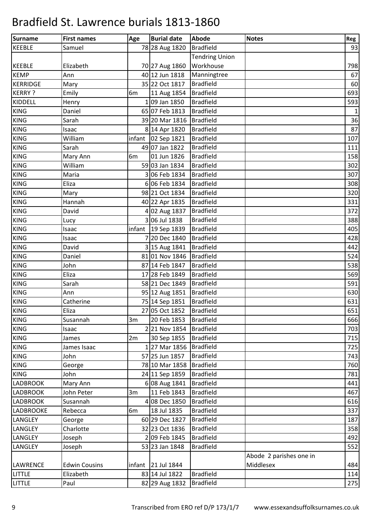| Surname         | <b>First names</b>   | Age    | <b>Burial date</b>   | <b>Abode</b>          | <b>Notes</b>            | Reg          |
|-----------------|----------------------|--------|----------------------|-----------------------|-------------------------|--------------|
| <b>KEEBLE</b>   | Samuel               |        | 78 28 Aug 1820       | <b>Bradfield</b>      |                         | 93           |
|                 |                      |        |                      | <b>Tendring Union</b> |                         |              |
| <b>KEEBLE</b>   | Elizabeth            |        | 70 27 Aug 1860       | Workhouse             |                         | 798          |
| <b>KEMP</b>     | Ann                  |        | 40 12 Jun 1818       | Manningtree           |                         | 67           |
| <b>KERRIDGE</b> | Mary                 |        | 35 22 Oct 1817       | <b>Bradfield</b>      |                         | 60           |
| <b>KERRY?</b>   | Emily                | 6m     | 11 Aug 1854          | <b>Bradfield</b>      |                         | 693          |
| <b>KIDDELL</b>  | Henry                |        | 109 Jan 1850         | <b>Bradfield</b>      |                         | 593          |
| <b>KING</b>     | Daniel               |        | 65 07 Feb 1813       | <b>Bradfield</b>      |                         | $\mathbf{1}$ |
| <b>KING</b>     | Sarah                |        | 39 20 Mar 1816       | Bradfield             |                         | 36           |
| <b>KING</b>     | Isaac                |        | 8 14 Apr 1820        | <b>Bradfield</b>      |                         | 87           |
| <b>KING</b>     | William              |        | infant 02 Sep 1821   | <b>Bradfield</b>      |                         | 107          |
| <b>KING</b>     | Sarah                |        | 49 07 Jan 1822       | <b>Bradfield</b>      |                         | 111          |
| <b>KING</b>     | Mary Ann             | 6m     | 01 Jun 1826          | <b>Bradfield</b>      |                         | 158          |
| <b>KING</b>     | William              |        | 59 03 Jan 1834       | <b>Bradfield</b>      |                         | 302          |
| <b>KING</b>     | Maria                |        | 306 Feb 1834         | <b>Bradfield</b>      |                         | 307          |
| <b>KING</b>     | Eliza                |        | 6 06 Feb 1834        | <b>Bradfield</b>      |                         | 308          |
| <b>KING</b>     | Mary                 |        | 98 21 Oct 1834       | <b>Bradfield</b>      |                         | 320          |
| <b>KING</b>     | Hannah               |        | 40 22 Apr 1835       | <b>Bradfield</b>      |                         | 331          |
| <b>KING</b>     | David                |        | 4 02 Aug 1837        | <b>Bradfield</b>      |                         | 372          |
| <b>KING</b>     | Lucy                 |        | 3 06 Jul 1838        | <b>Bradfield</b>      |                         | 388          |
| <b>KING</b>     | Isaac                |        | infant   19 Sep 1839 | <b>Bradfield</b>      |                         | 405          |
| <b>KING</b>     | Isaac                |        | 7 20 Dec 1840        | <b>Bradfield</b>      |                         | 428          |
| <b>KING</b>     | David                |        | 3 15 Aug 1841        | <b>Bradfield</b>      |                         | 442          |
| <b>KING</b>     | Daniel               |        | 81 01 Nov 1846       | <b>Bradfield</b>      |                         | 524          |
| <b>KING</b>     | John                 |        | 87 14 Feb 1847       | <b>Bradfield</b>      |                         | 538          |
| <b>KING</b>     | Eliza                |        | 17 28 Feb 1849       | <b>Bradfield</b>      |                         | 569          |
| <b>KING</b>     | Sarah                |        | 58 21 Dec 1849       | <b>Bradfield</b>      |                         | 591          |
| <b>KING</b>     | Ann                  |        | 95 12 Aug 1851       | Bradfield             |                         | 630          |
| <b>KING</b>     | Catherine            |        | 75 14 Sep 1851       | Bradfield             |                         | 631          |
| <b>KING</b>     | Eliza                |        | 27 05 Oct 1852       | Bradfield             |                         | 651          |
| <b>KING</b>     | Susannah             | 3m     | 20 Feb 1853          | <b>Bradfield</b>      |                         | 666          |
| <b>KING</b>     | Isaac                |        | 2 21 Nov 1854        | <b>Bradfield</b>      |                         | 703          |
| <b>KING</b>     | James                | 2m     | 30 Sep 1855          | <b>Bradfield</b>      |                         | 715          |
| <b>KING</b>     | James Isaac          |        | 1 27 Mar 1856        | <b>Bradfield</b>      |                         | 725          |
| <b>KING</b>     | John                 |        | 57 25 Jun 1857       | <b>Bradfield</b>      |                         | 743          |
| <b>KING</b>     | George               |        | 78 10 Mar 1858       | <b>Bradfield</b>      |                         | 760          |
| <b>KING</b>     | John                 |        | 24 11 Sep 1859       | <b>Bradfield</b>      |                         | 781          |
| <b>LADBROOK</b> | Mary Ann             |        | 6 08 Aug 1841        | <b>Bradfield</b>      |                         | 441          |
| <b>LADBROOK</b> | John Peter           | 3m     | 11 Feb 1843          | <b>Bradfield</b>      |                         | 467          |
| <b>LADBROOK</b> | Susannah             |        | 4 08 Dec 1850        | <b>Bradfield</b>      |                         | 616          |
| LADBROOKE       | Rebecca              | 6m     | 18 Jul 1835          | <b>Bradfield</b>      |                         | 337          |
| LANGLEY         | George               |        | 60 29 Dec 1827       | <b>Bradfield</b>      |                         | 187          |
| LANGLEY         | Charlotte            |        | 32 23 Oct 1836       | <b>Bradfield</b>      |                         | 358          |
| LANGLEY         | Joseph               |        | 209 Feb 1845         | <b>Bradfield</b>      |                         | 492          |
| <b>LANGLEY</b>  | Joseph               |        | 53 23 Jan 1848       | <b>Bradfield</b>      |                         | 552          |
|                 |                      |        |                      |                       | Abode 2 parishes one in |              |
| <b>LAWRENCE</b> | <b>Edwin Cousins</b> | infant | 21 Jul 1844          |                       | Middlesex               | 484          |
| LITTLE          | Elizabeth            |        | 83 14 Jul 1822       | <b>Bradfield</b>      |                         | 114          |
| <b>LITTLE</b>   | Paul                 |        | 82 29 Aug 1832       | <b>Bradfield</b>      |                         | 275          |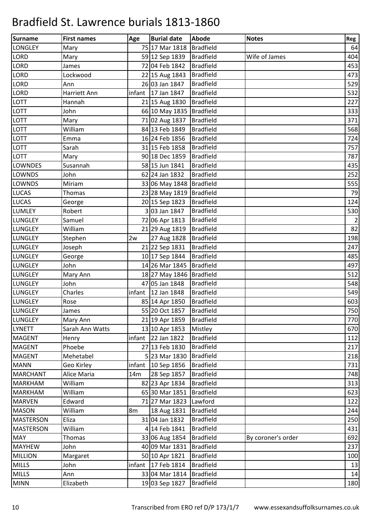| Surname          | <b>First names</b> | Age | <b>Burial date</b>         | <b>Abode</b>     | <b>Notes</b>       | Reg            |
|------------------|--------------------|-----|----------------------------|------------------|--------------------|----------------|
| <b>LONGLEY</b>   | Mary               |     | 75 17 Mar 1818             | <b>Bradfield</b> |                    | 64             |
| <b>LORD</b>      | Mary               |     | 59 12 Sep 1839             | <b>Bradfield</b> | Wife of James      | 404            |
| <b>LORD</b>      | James              |     | 72 04 Feb 1842             | <b>Bradfield</b> |                    | 453            |
| <b>LORD</b>      | Lockwood           |     | 22 15 Aug 1843             | <b>Bradfield</b> |                    | 473            |
| <b>LORD</b>      | Ann                |     | 26 03 Jan 1847             | <b>Bradfield</b> |                    | 529            |
| <b>LORD</b>      | Harriett Ann       |     | infant 17 Jan 1847         | <b>Bradfield</b> |                    | 532            |
| LOTT             | Hannah             |     | 21 15 Aug 1830             | <b>Bradfield</b> |                    | 227            |
| LOTT             | John               |     | 66 10 May 1835             | <b>Bradfield</b> |                    | 333            |
| LOTT             | Mary               |     | 71 02 Aug 1837             | <b>Bradfield</b> |                    | 371            |
| <b>LOTT</b>      | William            |     | 84 13 Feb 1849             | <b>Bradfield</b> |                    | 568            |
| <b>LOTT</b>      | Emma               |     | 16 24 Feb 1856             | <b>Bradfield</b> |                    | 724            |
| <b>LOTT</b>      | Sarah              |     | 31 15 Feb 1858             | <b>Bradfield</b> |                    | 757            |
| <b>LOTT</b>      | Mary               |     | 90 18 Dec 1859             | <b>Bradfield</b> |                    | 787            |
| <b>LOWNDES</b>   | Susannah           |     | 58 15 Jun 1841             | <b>Bradfield</b> |                    | 435            |
| <b>LOWNDS</b>    | John               |     | 62 24 Jan 1832             | <b>Bradfield</b> |                    | 252            |
| <b>LOWNDS</b>    | Miriam             |     | 33 06 May 1848             | <b>Bradfield</b> |                    | 555            |
| <b>LUCAS</b>     | <b>Thomas</b>      |     | 23 28 May 1819   Bradfield |                  |                    | 79             |
| <b>LUCAS</b>     | George             |     | 20 15 Sep 1823             | <b>Bradfield</b> |                    | 124            |
| <b>LUMLEY</b>    | Robert             |     | 303 Jan 1847               | <b>Bradfield</b> |                    | 530            |
| <b>LUNGLEY</b>   | Samuel             |     | 72 06 Apr 1813             | <b>Bradfield</b> |                    | $\overline{2}$ |
| <b>LUNGLEY</b>   | William            |     | 21 29 Aug 1819             | <b>Bradfield</b> |                    | 82             |
| <b>LUNGLEY</b>   | Stephen            | 2w  | 27 Aug 1828                | <b>Bradfield</b> |                    | 198            |
| <b>LUNGLEY</b>   | Joseph             |     | 21 22 Sep 1831             | <b>Bradfield</b> |                    | 247            |
| <b>LUNGLEY</b>   | George             |     | 10 17 Sep 1844             | <b>Bradfield</b> |                    | 485            |
| <b>LUNGLEY</b>   | John               |     | 14 26 Mar 1845             | <b>Bradfield</b> |                    | 497            |
| <b>LUNGLEY</b>   | Mary Ann           |     | 18 27 May 1846   Bradfield |                  |                    | 512            |
| <b>LUNGLEY</b>   | John               |     | 47 05 Jan 1848             | <b>Bradfield</b> |                    | 548            |
| <b>LUNGLEY</b>   | Charles            |     | infant 12 Jan 1848         | <b>Bradfield</b> |                    | 549            |
| LUNGLEY          | Rose               |     | 85 14 Apr 1850             | <b>Bradfield</b> |                    | 603            |
| <b>LUNGLEY</b>   | James              |     | 55 20 Oct 1857             | <b>Bradfield</b> |                    | 750            |
| <b>LUNGLEY</b>   | Mary Ann           |     | 21 19 Apr 1859             | <b>Bradfield</b> |                    | 770            |
| <b>LYNETT</b>    | Sarah Ann Watts    |     | 13 10 Apr 1853             | Mistley          |                    | 670            |
| <b>MAGENT</b>    | Henry              |     | $infant$ 22 Jan 1822       | <b>Bradfield</b> |                    | 112            |
| <b>MAGENT</b>    | Phoebe             |     | 27 13 Feb 1830             | <b>Bradfield</b> |                    | 217            |
| <b>MAGENT</b>    | Mehetabel          |     | 5 23 Mar 1830              | <b>Bradfield</b> |                    | 218            |
| <b>MANN</b>      | Geo Kirley         |     | infant 10 Sep 1856         | <b>Bradfield</b> |                    | 731            |
| <b>MARCHANT</b>  | Alice Maria        | 14m | 28 Sep 1857                | <b>Bradfield</b> |                    | 748            |
| <b>MARKHAM</b>   | William            |     | 82 23 Apr 1834             | <b>Bradfield</b> |                    | 313            |
| <b>MARKHAM</b>   | William            |     | 65 30 Mar 1851             | <b>Bradfield</b> |                    | 623            |
| <b>MARVEN</b>    | Edward             |     | 71 27 Mar 1823             | Lawford          |                    | 122            |
| <b>MASON</b>     | William            | 8m  | 18 Aug 1831                | <b>Bradfield</b> |                    | 244            |
| <b>MASTERSON</b> | Eliza              |     | 31 04 Jan 1832             | <b>Bradfield</b> |                    | 250            |
| <b>MASTERSON</b> | William            |     | 4 14 Feb 1841              | <b>Bradfield</b> |                    | 431            |
| <b>MAY</b>       | Thomas             |     | 33 06 Aug 1854             | <b>Bradfield</b> | By coroner's order | 692            |
| <b>MAYHEW</b>    | John               |     | 40 09 Mar 1831             | <b>Bradfield</b> |                    | 237            |
| <b>MILLION</b>   | Margaret           |     | 50 10 Apr 1821             | <b>Bradfield</b> |                    | 100            |
| <b>MILLS</b>     | John               |     | infant 17 Feb 1814         | <b>Bradfield</b> |                    | 13             |
| <b>MILLS</b>     | Ann                |     | 33 04 Mar 1814             | <b>Bradfield</b> |                    | 14             |
| <b>MINN</b>      | Elizabeth          |     | 19 03 Sep 1827             | <b>Bradfield</b> |                    | 180            |
|                  |                    |     |                            |                  |                    |                |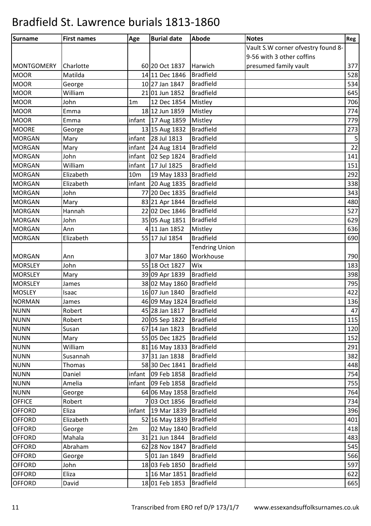| Surname           | <b>First names</b> | Age             | <b>Burial date</b>          | <b>Abode</b>          | <b>Notes</b>                       | Reg         |
|-------------------|--------------------|-----------------|-----------------------------|-----------------------|------------------------------------|-------------|
|                   |                    |                 |                             |                       | Vault S.W corner ofvestry found 8- |             |
|                   |                    |                 |                             |                       | 9-56 with 3 other coffins          |             |
| <b>MONTGOMERY</b> | Charlotte          |                 | 60 20 Oct 1837              | Harwich               | presumed family vault              | 377         |
| <b>MOOR</b>       | Matilda            |                 | 14 11 Dec 1846              | <b>Bradfield</b>      |                                    | 528         |
| <b>MOOR</b>       | George             |                 | 10 27 Jan 1847              | <b>Bradfield</b>      |                                    | 534         |
| <b>MOOR</b>       | William            |                 | 21 01 Jun 1852              | <b>Bradfield</b>      |                                    | 645         |
| <b>MOOR</b>       | John               | 1 <sub>m</sub>  | 12 Dec 1854                 | Mistley               |                                    | 706         |
| <b>MOOR</b>       | Emma               |                 | 18 12 Jun 1859              | Mistley               |                                    | 774         |
| <b>MOOR</b>       | Emma               |                 | infant 17 Aug 1859          | Mistley               |                                    | 779         |
| <b>MOORE</b>      | George             |                 | 13 15 Aug 1832              | <b>Bradfield</b>      |                                    | 273         |
| <b>MORGAN</b>     | Mary               |                 | infant 28 Jul 1813          | <b>Bradfield</b>      |                                    | $\mathsf S$ |
| <b>MORGAN</b>     | Mary               |                 | infant $\sqrt{24}$ Aug 1814 | <b>Bradfield</b>      |                                    | 22          |
| <b>MORGAN</b>     | John               | infant          | 02 Sep 1824                 | <b>Bradfield</b>      |                                    | 141         |
| <b>MORGAN</b>     | William            | infant          | 17 Jul 1825                 | <b>Bradfield</b>      |                                    | 151         |
| <b>MORGAN</b>     | Elizabeth          | 10 <sub>m</sub> | 19 May 1833                 | <b>Bradfield</b>      |                                    | 292         |
| <b>MORGAN</b>     | Elizabeth          | infant          | 20 Aug 1835                 | <b>Bradfield</b>      |                                    | 338         |
| <b>MORGAN</b>     | John               |                 | 77 20 Dec 1835              | <b>Bradfield</b>      |                                    | 343         |
| <b>MORGAN</b>     | Mary               |                 | 83 21 Apr 1844              | <b>Bradfield</b>      |                                    | 480         |
| <b>MORGAN</b>     | Hannah             |                 | 22 02 Dec 1846              | <b>Bradfield</b>      |                                    | 527         |
| <b>MORGAN</b>     | John               |                 | 35 05 Aug 1851              | <b>Bradfield</b>      |                                    | 629         |
| <b>MORGAN</b>     | Ann                |                 | 4 11 Jan 1852               | Mistley               |                                    | 636         |
| <b>MORGAN</b>     | Elizabeth          |                 | 55 17 Jul 1854              | <b>Bradfield</b>      |                                    | 690         |
|                   |                    |                 |                             | <b>Tendring Union</b> |                                    |             |
| <b>MORGAN</b>     | Ann                |                 | 3 07 Mar 1860               | Workhouse             |                                    | 790         |
| <b>MORSLEY</b>    | John               |                 | 55 18 Oct 1827              | Wix                   |                                    | 183         |
| <b>MORSLEY</b>    | Mary               |                 | 39 09 Apr 1839              | Bradfield             |                                    | 398         |
| <b>MORSLEY</b>    | James              |                 | 38 02 May 1860              | Bradfield             |                                    | 795         |
| <b>MOSLEY</b>     | Isaac              |                 | 16 07 Jun 1840              | <b>Bradfield</b>      |                                    | 422         |
| <b>NORMAN</b>     | James              |                 | 46 09 May 1824 Bradfield    |                       |                                    | 136         |
| <b>NUNN</b>       | Robert             |                 | 45 28 Jan 1817              | Bradfield             |                                    | 47          |
| NUNN              | Robert             |                 | 20 05 Sep 1822              | <b>Bradfield</b>      |                                    | 115         |
| <b>NUNN</b>       | Susan              |                 | 67 14 Jan 1823              | <b>Bradfield</b>      |                                    | 120         |
| <b>NUNN</b>       | Mary               |                 | 55 05 Dec 1825              | <b>Bradfield</b>      |                                    | 152         |
| <b>NUNN</b>       | William            |                 | 81 16 May 1833              | Bradfield             |                                    | 291         |
| <b>NUNN</b>       | Susannah           |                 | 37 31 Jan 1838              | <b>Bradfield</b>      |                                    | 382         |
| <b>NUNN</b>       | Thomas             |                 | 58 30 Dec 1841              | <b>Bradfield</b>      |                                    | 448         |
| <b>NUNN</b>       | Daniel             |                 | infant   09 Feb 1858        | <b>Bradfield</b>      |                                    | 754         |
| <b>NUNN</b>       | Amelia             |                 | infant 09 Feb 1858          | <b>Bradfield</b>      |                                    | 755         |
| <b>NUNN</b>       | George             |                 | 64 06 May 1858 Bradfield    |                       |                                    | 764         |
| <b>OFFICE</b>     | Robert             |                 | 7 03 Oct 1856               | <b>Bradfield</b>      |                                    | 734         |
| <b>OFFORD</b>     | Eliza              |                 | infant 19 Mar 1839          | <b>Bradfield</b>      |                                    | 396         |
| <b>OFFORD</b>     | Elizabeth          |                 | 52 16 May 1839              | <b>Bradfield</b>      |                                    | 401         |
| <b>OFFORD</b>     | George             | 2m              | 02 May 1840 Bradfield       |                       |                                    | 418         |
| <b>OFFORD</b>     | Mahala             |                 | 31 21 Jun 1844              | <b>Bradfield</b>      |                                    | 483         |
| <b>OFFORD</b>     | Abraham            |                 | 62 28 Nov 1847              | <b>Bradfield</b>      |                                    | 545         |
| <b>OFFORD</b>     | George             |                 | 5 01 Jan 1849               | <b>Bradfield</b>      |                                    | 566         |
| <b>OFFORD</b>     | John               |                 | 18 03 Feb 1850              | <b>Bradfield</b>      |                                    | 597         |
| <b>OFFORD</b>     | Eliza              |                 | 1 16 Mar 1851               | <b>Bradfield</b>      |                                    | 622         |
| <b>OFFORD</b>     | David              |                 | 18 01 Feb 1853              | <b>Bradfield</b>      |                                    | 665         |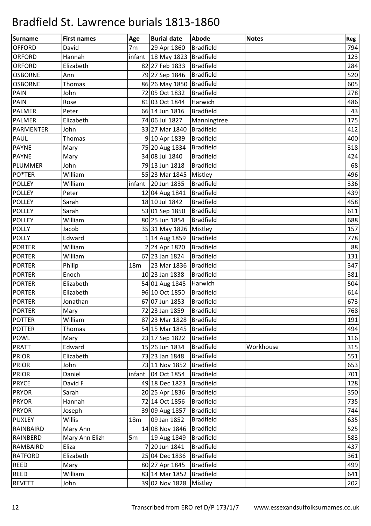| Surname          | <b>First names</b> | Age             | <b>Burial date</b>         | <b>Abode</b>     | <b>Notes</b> | Reg |
|------------------|--------------------|-----------------|----------------------------|------------------|--------------|-----|
| <b>OFFORD</b>    | David              | 7 <sub>m</sub>  | 29 Apr 1860                | <b>Bradfield</b> |              | 794 |
| <b>ORFORD</b>    | Hannah             |                 | infant 18 May 1823         | Bradfield        |              | 123 |
| <b>ORFORD</b>    | Elizabeth          |                 | 82 27 Feb 1833             | <b>Bradfield</b> |              | 284 |
| <b>OSBORNE</b>   | Ann                |                 | 79 27 Sep 1846             | <b>Bradfield</b> |              | 520 |
| <b>OSBORNE</b>   | Thomas             |                 | 86 26 May 1850             | <b>Bradfield</b> |              | 605 |
| <b>PAIN</b>      | John               |                 | 72 05 Oct 1832             | <b>Bradfield</b> |              | 278 |
| PAIN             | Rose               |                 | 81 03 Oct 1844             | Harwich          |              | 486 |
| <b>PALMER</b>    | Peter              |                 | 66 14 Jun 1816             | <b>Bradfield</b> |              | 43  |
| <b>PALMER</b>    | Elizabeth          |                 | 74 06 Jul 1827             | Manningtree      |              | 175 |
| <b>PARMENTER</b> | John               |                 | 33 27 Mar 1840             | <b>Bradfield</b> |              | 412 |
| <b>PAUL</b>      | Thomas             |                 | 9 10 Apr 1839              | <b>Bradfield</b> |              | 400 |
| <b>PAYNE</b>     | Mary               |                 | 75 20 Aug 1834             | <b>Bradfield</b> |              | 318 |
| <b>PAYNE</b>     | Mary               |                 | 34 08 Jul 1840             | <b>Bradfield</b> |              | 424 |
| PLUMMER          | John               |                 | 79 13 Jun 1818             | <b>Bradfield</b> |              | 68  |
| PO*TER           | William            |                 | 55 23 Mar 1845             | Mistley          |              | 496 |
| <b>POLLEY</b>    | William            |                 | infant 20 Jun 1835         | <b>Bradfield</b> |              | 336 |
| <b>POLLEY</b>    | Peter              |                 | 12 04 Aug 1841             | <b>Bradfield</b> |              | 439 |
| <b>POLLEY</b>    | Sarah              |                 | 18 10 Jul 1842             | <b>Bradfield</b> |              | 458 |
| <b>POLLEY</b>    | Sarah              |                 | 53 01 Sep 1850             | <b>Bradfield</b> |              | 611 |
| <b>POLLEY</b>    | William            |                 | 80 25 Jun 1854             | <b>Bradfield</b> |              | 688 |
| <b>POLLY</b>     | Jacob              |                 | 35 31 May 1826             | <b>Mistley</b>   |              | 157 |
| <b>POLLY</b>     | Edward             |                 | 1 14 Aug 1859              | <b>Bradfield</b> |              | 778 |
| <b>PORTER</b>    | William            |                 | 2 24 Apr 1820              | <b>Bradfield</b> |              | 88  |
| <b>PORTER</b>    | William            |                 | 67 23 Jan 1824             | <b>Bradfield</b> |              | 131 |
| <b>PORTER</b>    | Philip             | 18 <sub>m</sub> | 23 Mar 1836                | <b>Bradfield</b> |              | 347 |
| <b>PORTER</b>    | Enoch              |                 | 10 23 Jan 1838             | <b>Bradfield</b> |              | 381 |
| <b>PORTER</b>    | Elizabeth          |                 | 54 01 Aug 1845             | Harwich          |              | 504 |
| <b>PORTER</b>    | Elizabeth          |                 | 96 10 Oct 1850             | <b>Bradfield</b> |              | 614 |
| <b>PORTER</b>    | Jonathan           |                 | 67 07 Jun 1853             | <b>Bradfield</b> |              | 673 |
| <b>PORTER</b>    | Mary               |                 | 72 23 Jan 1859             | <b>Bradfield</b> |              | 768 |
| <b>POTTER</b>    | William            |                 | 87 23 Mar 1828   Bradfield |                  |              | 191 |
| <b>POTTER</b>    | Thomas             |                 | 54 15 Mar 1845             | <b>Bradfield</b> |              | 494 |
| <b>POWL</b>      | Mary               |                 | 23 17 Sep 1822             | <b>Bradfield</b> |              | 116 |
| <b>PRATT</b>     | Edward             |                 | 15 26 Jun 1834             | <b>Bradfield</b> | Workhouse    | 315 |
| <b>PRIOR</b>     | Elizabeth          |                 | 73 23 Jan 1848             | <b>Bradfield</b> |              | 551 |
| <b>PRIOR</b>     | John               |                 | 73 11 Nov 1852             | <b>Bradfield</b> |              | 653 |
| <b>PRIOR</b>     | Daniel             |                 | infant 04 Oct 1854         | <b>Bradfield</b> |              | 701 |
| <b>PRYCE</b>     | David F            |                 | 49 18 Dec 1823             | <b>Bradfield</b> |              | 128 |
| <b>PRYOR</b>     | Sarah              |                 | 20 25 Apr 1836             | <b>Bradfield</b> |              | 350 |
| <b>PRYOR</b>     | Hannah             |                 | 72 14 Oct 1856             | <b>Bradfield</b> |              | 735 |
| <b>PRYOR</b>     | Joseph             |                 | 39 09 Aug 1857             | <b>Bradfield</b> |              | 744 |
| <b>PUXLEY</b>    | <b>Willis</b>      | 18 <sub>m</sub> | 09 Jan 1852                | <b>Bradfield</b> |              | 635 |
| RAINBAIRD        | Mary Ann           |                 | 14 08 Nov 1846             | <b>Bradfield</b> |              | 525 |
| RAINBERD         | Mary Ann Elizh     | 5m              | 19 Aug 1849                | <b>Bradfield</b> |              | 583 |
| RAMBAIRD         | Eliza              |                 | 7 20 Jun 1841              | <b>Bradfield</b> |              | 437 |
| <b>RATFORD</b>   | Elizabeth          |                 | 25 04 Dec 1836             | <b>Bradfield</b> |              | 361 |
| <b>REED</b>      | Mary               |                 | 80 27 Apr 1845             | <b>Bradfield</b> |              | 499 |
| <b>REED</b>      | William            |                 | 83 14 Mar 1852             | <b>Bradfield</b> |              | 641 |
| <b>REVETT</b>    | John               |                 | 39 02 Nov 1828             | Mistley          |              | 202 |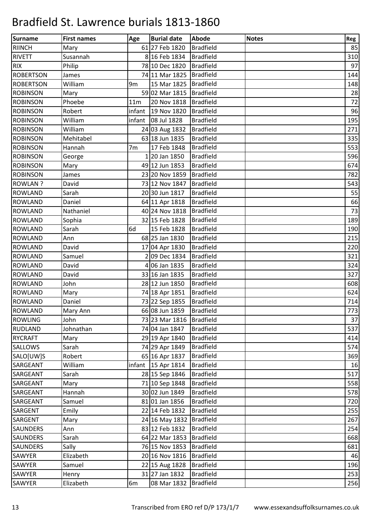| Surname          | <b>First names</b> | Age             | <b>Burial date</b>       | <b>Abode</b>     | <b>Notes</b> | Reg |
|------------------|--------------------|-----------------|--------------------------|------------------|--------------|-----|
| <b>RIINCH</b>    | Mary               |                 | 61 27 Feb 1820           | <b>Bradfield</b> |              | 85  |
| <b>RIVETT</b>    | Susannah           |                 | 8 16 Feb 1834            | <b>Bradfield</b> |              | 310 |
| <b>RIX</b>       | Philip             |                 | 78 10 Dec 1820           | <b>Bradfield</b> |              | 97  |
| <b>ROBERTSON</b> | James              |                 | 74 11 Mar 1825           | <b>Bradfield</b> |              | 144 |
| <b>ROBERTSON</b> | William            | 9 <sub>m</sub>  | 15 Mar 1825 Bradfield    |                  |              | 148 |
| <b>ROBINSON</b>  | Mary               |                 | 59 02 Mar 1815           | <b>Bradfield</b> |              | 28  |
| <b>ROBINSON</b>  | Phoebe             | 11 <sub>m</sub> | 20 Nov 1818              | <b>Bradfield</b> |              | 72  |
| <b>ROBINSON</b>  | Robert             | infant          | 19 Nov 1820              | Bradfield        |              | 96  |
| <b>ROBINSON</b>  | William            |                 | infant   08 Jul 1828     | <b>Bradfield</b> |              | 195 |
| <b>ROBINSON</b>  | William            |                 | 24 03 Aug 1832           | <b>Bradfield</b> |              | 271 |
| <b>ROBINSON</b>  | Mehitabel          |                 | 63 18 Jun 1835           | <b>Bradfield</b> |              | 335 |
| <b>ROBINSON</b>  | Hannah             | 7 <sub>m</sub>  | 17 Feb 1848              | <b>Bradfield</b> |              | 553 |
| <b>ROBINSON</b>  | George             |                 | 120 Jan 1850             | <b>Bradfield</b> |              | 596 |
| <b>ROBINSON</b>  | Mary               |                 | 49 12 Jun 1853           | <b>Bradfield</b> |              | 674 |
| <b>ROBINSON</b>  | James              |                 | 23 20 Nov 1859           | <b>Bradfield</b> |              | 782 |
| <b>ROWLAN?</b>   | David              |                 | 73 12 Nov 1847           | <b>Bradfield</b> |              | 543 |
| <b>ROWLAND</b>   | Sarah              |                 | 20 30 Jun 1817           | <b>Bradfield</b> |              | 55  |
| <b>ROWLAND</b>   | Daniel             |                 | 64 11 Apr 1818           | <b>Bradfield</b> |              | 66  |
| <b>ROWLAND</b>   | Nathaniel          |                 | 40 24 Nov 1818           | <b>Bradfield</b> |              | 73  |
| <b>ROWLAND</b>   | Sophia             |                 | 32 15 Feb 1828           | <b>Bradfield</b> |              | 189 |
| <b>ROWLAND</b>   | Sarah              | 6d              | 15 Feb 1828              | <b>Bradfield</b> |              | 190 |
| <b>ROWLAND</b>   | Ann                |                 | 68 25 Jan 1830           | <b>Bradfield</b> |              | 215 |
| <b>ROWLAND</b>   | David              |                 | 17 04 Apr 1830           | <b>Bradfield</b> |              | 220 |
| <b>ROWLAND</b>   | Samuel             |                 | 2 09 Dec 1834            | <b>Bradfield</b> |              | 321 |
| <b>ROWLAND</b>   | David              |                 | 4 06 Jan 1835            | <b>Bradfield</b> |              | 324 |
| <b>ROWLAND</b>   | David              |                 | 33 16 Jan 1835           | <b>Bradfield</b> |              | 327 |
| <b>ROWLAND</b>   | John               |                 | 28 12 Jun 1850           | <b>Bradfield</b> |              | 608 |
| <b>ROWLAND</b>   | Mary               |                 | 74 18 Apr 1851           | <b>Bradfield</b> |              | 624 |
| <b>ROWLAND</b>   | Daniel             |                 | 73 22 Sep 1855           | <b>Bradfield</b> |              | 714 |
| <b>ROWLAND</b>   | Mary Ann           |                 | 66 08 Jun 1859           | <b>Bradfield</b> |              | 773 |
| <b>ROWLING</b>   | John               |                 | 73 23 Mar 1816 Bradfield |                  |              | 37  |
| <b>RUDLAND</b>   | Johnathan          |                 | 74 04 Jan 1847           | <b>Bradfield</b> |              | 537 |
| <b>RYCRAFT</b>   | Mary               |                 | 29 19 Apr 1840           | <b>Bradfield</b> |              | 414 |
| <b>SALLOWS</b>   | Sarah              |                 | 74 29 Apr 1849           | <b>Bradfield</b> |              | 574 |
| SALO[UW]S        | Robert             |                 | 65 16 Apr 1837           | <b>Bradfield</b> |              | 369 |
| SARGEANT         | William            |                 | infant $15$ Apr 1814     | <b>Bradfield</b> |              | 16  |
| SARGEANT         | Sarah              |                 | 28 15 Sep 1846           | <b>Bradfield</b> |              | 517 |
| SARGEANT         | Mary               |                 | 71 10 Sep 1848           | <b>Bradfield</b> |              | 558 |
| SARGEANT         | Hannah             |                 | 30 02 Jun 1849           | <b>Bradfield</b> |              | 578 |
| SARGEANT         | Samuel             |                 | 81 01 Jan 1856           | <b>Bradfield</b> |              | 720 |
| <b>SARGENT</b>   | Emily              |                 | 22 14 Feb 1832           | <b>Bradfield</b> |              | 255 |
| SARGENT          | Mary               |                 | 24 16 May 1832           | <b>Bradfield</b> |              | 267 |
| <b>SAUNDERS</b>  | Ann                |                 | 83 12 Feb 1832           | <b>Bradfield</b> |              | 254 |
| <b>SAUNDERS</b>  | Sarah              |                 | 64 22 Mar 1853           | <b>Bradfield</b> |              | 668 |
| <b>SAUNDERS</b>  | Sally              |                 | 76 15 Nov 1853           | <b>Bradfield</b> |              | 681 |
| SAWYER           | Elizabeth          |                 | 20 16 Nov 1816           | <b>Bradfield</b> |              | 46  |
| SAWYER           | Samuel             |                 | 22 15 Aug 1828           | <b>Bradfield</b> |              | 196 |
| SAWYER           | Henry              |                 | 31 27 Jan 1832           | <b>Bradfield</b> |              | 253 |
| SAWYER           | Elizabeth          | 6m              | 08 Mar 1832              | <b>Bradfield</b> |              | 256 |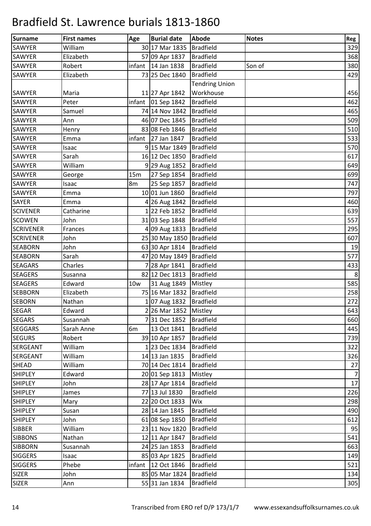| Surname          | <b>First names</b> | Age | <b>Burial date</b>         | <b>Abode</b>          | <b>Notes</b> | Reg              |
|------------------|--------------------|-----|----------------------------|-----------------------|--------------|------------------|
| <b>SAWYER</b>    | William            |     | 30 17 Mar 1835             | <b>Bradfield</b>      |              | 329              |
| <b>SAWYER</b>    | Elizabeth          |     | 57 09 Apr 1837             | <b>Bradfield</b>      |              | 368              |
| <b>SAWYER</b>    | Robert             |     | infant $ 14$ Jan 1838      | <b>Bradfield</b>      | Son of       | 380              |
| <b>SAWYER</b>    | Elizabeth          |     | 73 25 Dec 1840             | <b>Bradfield</b>      |              | 429              |
|                  |                    |     |                            | <b>Tendring Union</b> |              |                  |
| <b>SAWYER</b>    | Maria              |     | 11 27 Apr 1842             | Workhouse             |              | 456              |
| <b>SAWYER</b>    | Peter              |     | infant $\vert$ 01 Sep 1842 | <b>Bradfield</b>      |              | 462              |
| <b>SAWYER</b>    | Samuel             |     | 74 14 Nov 1842             | Bradfield             |              | 465              |
| <b>SAWYER</b>    | Ann                |     | 46 07 Dec 1845             | <b>Bradfield</b>      |              | 509              |
| SAWYER           | Henry              |     | 83 08 Feb 1846             | <b>Bradfield</b>      |              | 510              |
| <b>SAWYER</b>    | Emma               |     | infant 27 Jan $1847$       | <b>Bradfield</b>      |              | 533              |
| SAWYER           | Isaac              |     | 9 15 Mar 1849              | <b>Bradfield</b>      |              | 570              |
| SAWYER           | Sarah              |     | 16 12 Dec 1850             | <b>Bradfield</b>      |              | 617              |
| <b>SAWYER</b>    | William            |     | 9 29 Aug 1852              | <b>Bradfield</b>      |              | 649              |
| <b>SAWYER</b>    | George             | 15m | 27 Sep 1854                | <b>Bradfield</b>      |              | 699              |
| <b>SAWYER</b>    | Isaac              | 8m  | 25 Sep 1857                | <b>Bradfield</b>      |              | 747              |
| SAWYER           | Emma               |     | 10 01 Jun 1860             | <b>Bradfield</b>      |              | 797              |
| <b>SAYER</b>     | Emma               |     | 4 26 Aug 1842              | <b>Bradfield</b>      |              | 460              |
| <b>SCIVENER</b>  | Catharine          |     | 122 Feb 1852               | <b>Bradfield</b>      |              | 639              |
| <b>SCOWEN</b>    | John               |     | 31 03 Sep 1848             | <b>Bradfield</b>      |              | 557              |
| <b>SCRIVENER</b> | Frances            |     | 4 09 Aug 1833              | <b>Bradfield</b>      |              | 295              |
| <b>SCRIVENER</b> | John               |     | 25 30 May 1850 Bradfield   |                       |              | 607              |
| <b>SEABORN</b>   | John               |     | 63 30 Apr 1814             | <b>Bradfield</b>      |              | 19               |
| <b>SEABORN</b>   | Sarah              |     | 47 20 May 1849   Bradfield |                       |              | 577              |
| <b>SEAGARS</b>   | Charles            |     | 728 Apr 1841               | <b>Bradfield</b>      |              | 433              |
| <b>SEAGERS</b>   | Susanna            |     | 82 12 Dec 1813             | <b>Bradfield</b>      |              | $\,8\,$          |
| <b>SEAGERS</b>   | Edward             | 10w | 31 Aug 1849 Mistley        |                       |              | 585              |
| <b>SEBBORN</b>   | Elizabeth          |     | 75 16 Mar 1832   Bradfield |                       |              | 258              |
| <b>SEBORN</b>    | Nathan             |     | 107 Aug 1832   Bradfield   |                       |              | 272              |
| <b>SEGAR</b>     | Edward             |     | 2 26 Mar 1852 Mistley      |                       |              | 643              |
| <b>SEGARS</b>    | Susannah           |     | 731 Dec 1852               | <b>Bradfield</b>      |              | 660              |
| <b>SEGGARS</b>   | Sarah Anne         | 6m  | 13 Oct 1841                | <b>Bradfield</b>      |              | 445              |
| <b>SEGURS</b>    | Robert             |     | 39 10 Apr 1857             | <b>Bradfield</b>      |              | 739              |
| <b>SERGEANT</b>  | William            |     | 123 Dec 1834               | <b>Bradfield</b>      |              | 322              |
| <b>SERGEANT</b>  | William            |     | 14 13 Jan 1835             | <b>Bradfield</b>      |              | 326              |
| <b>SHEAD</b>     | William            |     | 70 14 Dec 1814             | <b>Bradfield</b>      |              | 27               |
| <b>SHIPLEY</b>   | Edward             |     | 20 01 Sep 1813             | Mistley               |              | $\boldsymbol{7}$ |
| <b>SHIPLEY</b>   | John               |     | 28 17 Apr 1814             | <b>Bradfield</b>      |              | 17               |
| <b>SHIPLEY</b>   | James              |     | 77 13 Jul 1830             | <b>Bradfield</b>      |              | 226              |
| <b>SHIPLEY</b>   | Mary               |     | 22 20 Oct 1833             | Wix                   |              | 298              |
| <b>SHIPLEY</b>   | Susan              |     | 28 14 Jan 1845             | <b>Bradfield</b>      |              | 490              |
| <b>SHIPLEY</b>   | John               |     | 61 08 Sep 1850             | <b>Bradfield</b>      |              | 612              |
| <b>SIBBER</b>    | William            |     | 23 11 Nov 1820             | <b>Bradfield</b>      |              | 95               |
| <b>SIBBONS</b>   | Nathan             |     | 12 11 Apr 1847             | <b>Bradfield</b>      |              | 541              |
| <b>SIBBORN</b>   | Susannah           |     | 24 25 Jan 1853             | <b>Bradfield</b>      |              | 663              |
| <b>SIGGERS</b>   | Isaac              |     | 85 03 Apr 1825             | <b>Bradfield</b>      |              | 149              |
| <b>SIGGERS</b>   | Phebe              |     | infant 12 Oct 1846         | <b>Bradfield</b>      |              | 521              |
| <b>SIZER</b>     | John               |     | 85 05 Mar 1824             | <b>Bradfield</b>      |              | 134              |
| <b>SIZER</b>     | Ann                |     | 55 31 Jan 1834             | <b>Bradfield</b>      |              | 305              |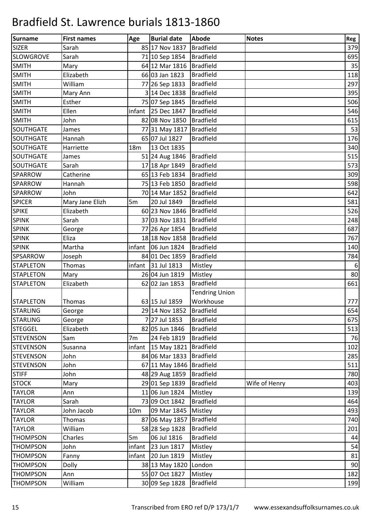| Surname          | <b>First names</b> | Age             | <b>Burial date</b>         | <b>Abode</b>          | <b>Notes</b>  | Reg              |
|------------------|--------------------|-----------------|----------------------------|-----------------------|---------------|------------------|
| <b>SIZER</b>     | Sarah              |                 | 85 17 Nov 1837             | <b>Bradfield</b>      |               | 379              |
| <b>SLOWGROVE</b> | Sarah              |                 | 71 10 Sep 1854             | <b>Bradfield</b>      |               | 695              |
| <b>SMITH</b>     | Mary               |                 | 64 12 Mar 1816   Bradfield |                       |               | 35               |
| <b>SMITH</b>     | Elizabeth          |                 | 66 03 Jan 1823             | <b>Bradfield</b>      |               | 118              |
| <b>SMITH</b>     | William            |                 | 77 26 Sep 1833             | <b>Bradfield</b>      |               | 297              |
| <b>SMITH</b>     | Mary Ann           |                 | 3 14 Dec 1838              | <b>Bradfield</b>      |               | 395              |
| <b>SMITH</b>     | Esther             |                 | 75 07 Sep 1845             | <b>Bradfield</b>      |               | 506              |
| <b>SMITH</b>     | Ellen              |                 | infant 25 Dec 1847         | <b>Bradfield</b>      |               | 546              |
| <b>SMITH</b>     | John               |                 | 82 08 Nov 1850 Bradfield   |                       |               | 615              |
| SOUTHGATE        | James              |                 | 77 31 May 1817 Bradfield   |                       |               | 53               |
| SOUTHGATE        | Hannah             |                 | 65 07 Jul 1827             | <b>Bradfield</b>      |               | 176              |
| SOUTHGATE        | Harriette          | 18 <sub>m</sub> | 13 Oct 1835                |                       |               | 340              |
| <b>SOUTHGATE</b> | James              |                 | 51 24 Aug 1846             | <b>Bradfield</b>      |               | 515              |
| <b>SOUTHGATE</b> | Sarah              |                 | 17 18 Apr 1849             | <b>Bradfield</b>      |               | 573              |
| <b>SPARROW</b>   | Catherine          |                 | 65 13 Feb 1834             | <b>Bradfield</b>      |               | 309              |
| <b>SPARROW</b>   | Hannah             |                 | 75 13 Feb 1850             | <b>Bradfield</b>      |               | 598              |
| <b>SPARROW</b>   | John               |                 | 70 14 Mar 1852             | <b>Bradfield</b>      |               | 642              |
| <b>SPICER</b>    | Mary Jane Elizh    | 5 <sub>m</sub>  | 20 Jul 1849                | <b>Bradfield</b>      |               | 581              |
| <b>SPIKE</b>     | Elizabeth          |                 | 60 23 Nov 1846   Bradfield |                       |               | 526              |
| <b>SPINK</b>     | Sarah              |                 | 37 03 Nov 1831             | <b>Bradfield</b>      |               | 248              |
| <b>SPINK</b>     | George             |                 | 77 26 Apr 1854             | <b>Bradfield</b>      |               | 687              |
| <b>SPINK</b>     | Eliza              |                 | 18 18 Nov 1858             | <b>Bradfield</b>      |               | 767              |
| <b>SPINK</b>     | Martha             |                 | $infant$ 06 Jun 1824       | <b>Bradfield</b>      |               | 140              |
| SPSARROW         | Joseph             |                 | 84 01 Dec 1859             | <b>Bradfield</b>      |               | 784              |
| <b>STAPLETON</b> | Thomas             |                 | infant 31 Jul 1813         | Mistley               |               | $\boldsymbol{6}$ |
| <b>STAPLETON</b> | Mary               |                 | 26 04 Jun 1819             | Mistley               |               | 80               |
| <b>STAPLETON</b> | Elizabeth          |                 | 62 02 Jan 1853             | <b>Bradfield</b>      |               | 661              |
|                  |                    |                 |                            | <b>Tendring Union</b> |               |                  |
| <b>STAPLETON</b> | Thomas             |                 | 63 15 Jul 1859             | Workhouse             |               | 777              |
| <b>STARLING</b>  | George             |                 | 29 14 Nov 1852 Bradfield   |                       |               | 654              |
| <b>STARLING</b>  | George             |                 | 7 27 Jul 1853              | <b>Bradfield</b>      |               | 675              |
| <b>STEGGEL</b>   | Elizabeth          |                 | 82 05 Jun 1846             | <b>Bradfield</b>      |               | 513              |
| <b>STEVENSON</b> | Sam                | 7 <sub>m</sub>  | 24 Feb 1819                | <b>Bradfield</b>      |               | 76               |
| <b>STEVENSON</b> | Susanna            | infant          | 15 May 1821 Bradfield      |                       |               | 102              |
| <b>STEVENSON</b> | John               |                 | 84 06 Mar 1833             | <b>Bradfield</b>      |               | 285              |
| <b>STEVENSON</b> | John               |                 | 67 11 May 1846   Bradfield |                       |               | 511              |
| <b>STIFF</b>     | John               |                 | 48 29 Aug 1859             | <b>Bradfield</b>      |               | 780              |
| <b>STOCK</b>     | Mary               |                 | 29 01 Sep 1839             | <b>Bradfield</b>      | Wife of Henry | 403              |
| <b>TAYLOR</b>    | Ann                |                 | 11 06 Jun 1824             | Mistley               |               | 139              |
| <b>TAYLOR</b>    | Sarah              |                 | 73 09 Oct 1842             | <b>Bradfield</b>      |               | 464              |
| <b>TAYLOR</b>    | John Jacob         | 10 <sub>m</sub> | 09 Mar 1845                | Mistley               |               | 493              |
| <b>TAYLOR</b>    | <b>Thomas</b>      |                 | 87 06 May 1857             | <b>Bradfield</b>      |               | 740              |
| <b>TAYLOR</b>    | William            |                 | 58 28 Sep 1828             | <b>Bradfield</b>      |               | 201              |
| <b>THOMPSON</b>  | Charles            | 5m              | 06 Jul 1816                | <b>Bradfield</b>      |               | 44               |
| <b>THOMPSON</b>  | John               | infant          | 23 Jun 1817                | Mistley               |               | 54               |
| <b>THOMPSON</b>  | Fanny              | infant          | 20 Jun 1819                | Mistley               |               | 81               |
| <b>THOMPSON</b>  | <b>Dolly</b>       |                 | 38 13 May 1820             | London                |               | 90               |
| <b>THOMPSON</b>  | Ann                |                 | 55 07 Oct 1827             | Mistley               |               | 182              |
| <b>THOMPSON</b>  | William            |                 | 30 09 Sep 1828             | <b>Bradfield</b>      |               | 199              |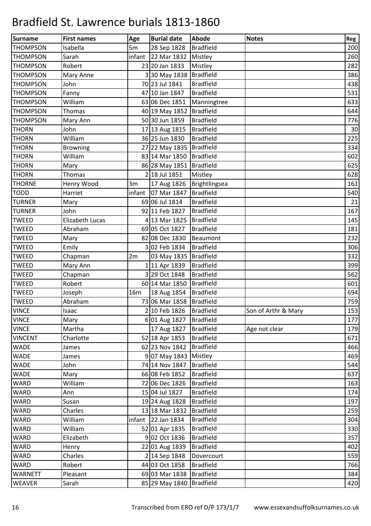| Surname         | <b>First names</b> | Age    | <b>Burial date</b>         | <b>Abode</b>     | <b>Notes</b>        | Reg |
|-----------------|--------------------|--------|----------------------------|------------------|---------------------|-----|
| <b>THOMPSON</b> | Isabella           | 5m     | 28 Sep 1828                | <b>Bradfield</b> |                     | 200 |
| <b>THOMPSON</b> | Sarah              | infant | 22 Mar 1832                | Mistley          |                     | 260 |
| <b>THOMPSON</b> | Robert             |        | 23 20 Jan 1833             | Mistley          |                     | 282 |
| <b>THOMPSON</b> | Mary Anne          |        | 3 30 May 1838              | <b>Bradfield</b> |                     | 386 |
| <b>THOMPSON</b> | John               |        | 70 23 Jul 1841             | <b>Bradfield</b> |                     | 438 |
| <b>THOMPSON</b> | Fanny              |        | 47 10 Jan 1847             | <b>Bradfield</b> |                     | 531 |
| <b>THOMPSON</b> | William            |        | 63 06 Dec 1851             | Manningtree      |                     | 633 |
| <b>THOMPSON</b> | Thomas             |        | 40 19 May 1852             | <b>Bradfield</b> |                     | 644 |
| <b>THOMPSON</b> | Mary Ann           |        | 50 30 Jun 1859             | <b>Bradfield</b> |                     | 776 |
| <b>THORN</b>    | John               |        | 17 13 Aug 1815             | <b>Bradfield</b> |                     | 30  |
| <b>THORN</b>    | William            |        | 36 25 Jun 1830             | <b>Bradfield</b> |                     | 225 |
| <b>THORN</b>    | <b>Browning</b>    |        | 27 22 May 1835   Bradfield |                  |                     | 334 |
| <b>THORN</b>    | William            |        | 83 14 Mar 1850             | <b>Bradfield</b> |                     | 602 |
| <b>THORN</b>    | Mary               |        | 86 28 May 1851             | Bradfield        |                     | 625 |
| <b>THORN</b>    | Thomas             |        | 2 18 Jul 1851              | Mistley          |                     | 628 |
| <b>THORNE</b>   | Henry Wood         | 3m     | 17 Aug 1826                | Brightlingsea    |                     | 161 |
| <b>TODD</b>     | Harriet            | infant | 07 Mar 1847                | <b>Bradfield</b> |                     | 540 |
| <b>TURNER</b>   | Mary               |        | 69 06 Jul 1814             | <b>Bradfield</b> |                     | 21  |
| <b>TURNER</b>   | John               |        | 92 11 Feb 1827             | <b>Bradfield</b> |                     | 167 |
| <b>TWEED</b>    | Elizabeth Lucas    |        | 4 13 Mar 1825              | <b>Bradfield</b> |                     | 145 |
| <b>TWEED</b>    | Abraham            |        | 69 05 Oct 1827             | <b>Bradfield</b> |                     | 181 |
| <b>TWEED</b>    | Mary               |        | 82 08 Dec 1830             | Beaumont         |                     | 232 |
| <b>TWEED</b>    | Emily              |        | 3 02 Feb 1834              | <b>Bradfield</b> |                     | 306 |
| <b>TWEED</b>    | Chapman            | 2m     | 03 May 1835   Bradfield    |                  |                     | 332 |
| <b>TWEED</b>    | Mary Ann           |        | 111 Apr 1839               | <b>Bradfield</b> |                     | 399 |
| <b>TWEED</b>    | Chapman            |        | 3 29 Oct 1848              | <b>Bradfield</b> |                     | 562 |
| <b>TWEED</b>    | Robert             |        | 60 14 Mar 1850             | Bradfield        |                     | 601 |
| <b>TWEED</b>    | Joseph             | 16m    | 18 Aug 1854                | Bradfield        |                     | 694 |
| <b>TWEED</b>    | Abraham            |        | 73 06 Mar 1858   Bradfield |                  |                     | 759 |
| <b>VINCE</b>    | Isaac              |        | 2 10 Feb 1826   Bradfield  |                  | Son of Arthr & Mary | 153 |
| <b>VINCE</b>    | Mary               |        | 6 01 Aug 1827              | <b>Bradfield</b> |                     | 177 |
| <b>VINCE</b>    | Martha             |        | 17 Aug 1827                | <b>Bradfield</b> | Age not clear       | 179 |
| <b>VINCENT</b>  | Charlotte          |        | 52 18 Apr 1853             | <b>Bradfield</b> |                     | 671 |
| <b>WADE</b>     | James              |        | 62 23 Nov 1842             | <b>Bradfield</b> |                     | 466 |
| <b>WADE</b>     | James              |        | 9 07 May 1843              | Mistley          |                     | 469 |
| <b>WADE</b>     | John               |        | 74 14 Nov 1847             | <b>Bradfield</b> |                     | 544 |
| <b>WADE</b>     | Mary               |        | 66 08 Feb 1852             | <b>Bradfield</b> |                     | 637 |
| <b>WARD</b>     | William            |        | 72 06 Dec 1826             | <b>Bradfield</b> |                     | 163 |
| <b>WARD</b>     | Ann                |        | 15 04 Jul 1827             | <b>Bradfield</b> |                     | 174 |
| <b>WARD</b>     | Susan              |        | 19 24 Aug 1828             | <b>Bradfield</b> |                     | 197 |
| <b>WARD</b>     | Charles            |        | 13 18 Mar 1832             | <b>Bradfield</b> |                     | 259 |
| WARD            | William            |        | infant 22 Jan $1834$       | <b>Bradfield</b> |                     | 304 |
| <b>WARD</b>     | William            |        | 52 01 Apr 1835             | <b>Bradfield</b> |                     | 330 |
| <b>WARD</b>     | Elizabeth          |        | 9 02 Oct 1836              | <b>Bradfield</b> |                     | 357 |
| <b>WARD</b>     | Henry              |        | 22 01 Aug 1839             | <b>Bradfield</b> |                     | 402 |
| <b>WARD</b>     | Charles            |        | 2 14 Sep 1848              | Dovercourt       |                     | 559 |
| <b>WARD</b>     | Robert             |        | 44 03 Oct 1858             | <b>Bradfield</b> |                     | 766 |
| <b>WARNETT</b>  | Pleasant           |        | 69 03 Mar 1838             | <b>Bradfield</b> |                     | 384 |
| <b>WEAVER</b>   | Sarah              |        | 85 29 May 1840 Bradfield   |                  |                     | 420 |